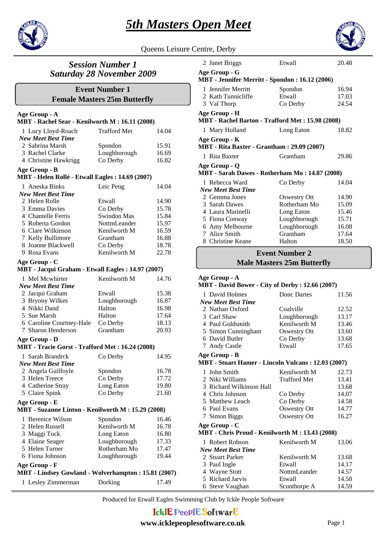



#### Queens Leisure Centre, Derby



### *Session Number 1 Saturday 28 November 2009*

### **Female Masters 25m Butterfly Event Number 1**

#### **Age Group - A**

#### **MBT - Rachel Sear - Kenilworth M : 16.11 (2008)**

| 1 Lucy Lloyd-Roach                                               | <b>Trafford Met</b> | 14.04 |
|------------------------------------------------------------------|---------------------|-------|
| <b>New Meet Best Time</b>                                        |                     |       |
| 2. Sabrina Marsh                                                 | Spondon             | 15.91 |
| 3 Rachel Clarke                                                  | Loughborough        | 16.69 |
| 4 Christine Hawkrigg                                             | Co Derby            | 16.82 |
| Age Group - B<br>MBT - Helen Rollé - Etwall Eagles: 14.69 (2007) |                     |       |
| 1 Aneska Binks                                                   | Leic Peng           | 14.04 |
| <b>New Meet Best Time</b>                                        |                     |       |
| 2 Helen Rolle                                                    | Etwall              | 14.90 |
| 3 Emma Davies                                                    | Co Derby            | 15.78 |
| 4 Chantelle Ferris                                               | Swindon Mas         | 15.84 |
| 5 Roberta Gordon                                                 | NottmLeander        | 15.97 |
| 6 Clare Wilkinson                                                | Kenilworth M        | 16.59 |
| 7 Kelly Bullimore                                                | Grantham            | 16.88 |
| 8 Joanne Blackwell                                               | Co Derby            | 18.78 |
| 9 Rosa Evans                                                     | Kenilworth M        | 22.78 |
|                                                                  |                     |       |
| Age Group - C                                                    |                     |       |
| MBT - Jacqui Graham - Etwall Eagles: 14.97 (2007)                |                     |       |
| 1 Mel Mcwhirter                                                  | Kenilworth M        | 14.76 |
| <b>New Meet Best Time</b>                                        |                     |       |
| 2 Jacqui Graham                                                  | Etwall              | 15.38 |
| 3 Bryony Wilkes                                                  | Loughborough        | 16.87 |
| 4 Nikki Dand                                                     | Halton              | 16.98 |
| 5 Sue Marsh                                                      | Halton              | 17.64 |
| 6 Caroline Courtney-Hale                                         | Co Derby            | 18.13 |
| 7 Sharon Henderson                                               | Grantham            | 20.93 |
| Age Group - D                                                    |                     |       |
| MBT - Tracie Gorst - Trafford Met: 16.24 (2008)                  |                     |       |
| 1 Sarah Brandrck                                                 | Co Derby            | 14.95 |
| <b>New Meet Best Time</b>                                        |                     |       |
| 2 Angela Guilfoyle                                               | Spondon             | 16.78 |
| 3 Helen Treece                                                   | Co Derby            | 17.72 |
| 4 Catherine Stray                                                | Long Eaton          | 19.80 |
| 5 Claire Spink                                                   | Co Derby            | 21.60 |
| Age Group - E                                                    |                     |       |
| MBT - Suzanne Linton - Kenilworth M: 15.29 (2008)                |                     |       |
| 1 Berenice Wilson                                                | Spondon             | 16.46 |
| 2 Helen Russell                                                  | Kenilworth M        | 16.78 |
| 3 Maggi Tuck                                                     | Long Eaton          | 16.80 |
| 4 Elaine Seager                                                  | Loughborough        | 17.33 |
| 5 Helen Turner                                                   | Rotherham Mo        | 17.47 |
| 6 Fiona Johnson                                                  | Loughborough        | 19.44 |
| Age Group - F                                                    |                     |       |
| MBT - Lindsey Gowland - Wolverhampton: 15.81 (2007)              |                     |       |
| 1 Lesley Zimmerman                                               | Dorking             | 17.49 |

| 2 Janet Briggs                                                    | Etwall       | 20.48 |  |  |
|-------------------------------------------------------------------|--------------|-------|--|--|
| Age Group - G<br>MBT - Jennifer Merritt - Spondon : 16.12 (2006)  |              |       |  |  |
| 1 Jennifer Merritt                                                | Spondon      | 16.94 |  |  |
| 2 Kath Tunnicliffe                                                | Etwall       | 17.03 |  |  |
| 3 Val Thorp                                                       | Co Derby     | 24.54 |  |  |
| Age Group - H<br>MBT - Rachel Barton - Trafford Met: 15.98 (2008) |              |       |  |  |
| 1 Mary Holland                                                    | Long Eaton   | 18.82 |  |  |
| Age Group - K<br>MBT - Rita Baxter - Grantham : 29.09 (2007)      |              |       |  |  |
| 1 Rita Baxter                                                     | Grantham     | 29.86 |  |  |
| Age Group - Q<br>MBT - Sarah Dawes - Rotherham Mo: 14.87 (2008)   |              |       |  |  |
| 1 Rebecca Ward                                                    | Co Derby     | 14.04 |  |  |
| <b>New Meet Best Time</b>                                         |              |       |  |  |
| 2. Gemma Jones                                                    | Oswestry Ott | 14.90 |  |  |
| 3 Sarah Dawes                                                     | Rotherham Mo | 15.09 |  |  |
| 4 Laura Marinelli                                                 | Long Eaton   | 15.46 |  |  |
| 5 Fiona Conway                                                    | Loughborough | 15.71 |  |  |
| 6 Amy Melbourne                                                   | Loughborough | 16.08 |  |  |
| 7 Alice Smith                                                     | Grantham     | 17.64 |  |  |
| 8 Christine Keane                                                 | Halton       | 18.50 |  |  |

# **Male Masters 25m Butterfly Event Number 2**

#### **Age Group - A**

#### **MBT - David Bower - City of Derby : 12.66 (2007)**

| 1 David Holmes            | Donc Dartes  | 11.56 |
|---------------------------|--------------|-------|
| <b>New Meet Best Time</b> |              |       |
| 2 Nathan Oxford           | Coalville    | 12.52 |
| 3 Carl Shaw               | Loughborough | 13.17 |
| 4 Paul Goldsmith          | Kenilworth M | 13.46 |
| 5 Simon Cunningham        | Oswestry Ott | 13.60 |
| 6 David Butler            | Co Derby     | 13.68 |
| 7 Andy Castle             | Etwall       | 17.65 |
| Age Group - B             |              |       |

#### **MBT - Stuart Hamer - Lincoln Vulcans : 12.03 (2007)**

| 1 John Smith             | Kenilworth M        | 12.73 |
|--------------------------|---------------------|-------|
| 2 Niki Williams          | <b>Trafford Met</b> | 13.41 |
| 3 Richard Wilkinson Hall |                     | 13.68 |
| 4 Chris Johnson          | Co Derby            | 14.07 |
| 5 Matthew Leach          | Co Derby            | 14.58 |
| 6 Paul Evans             | Oswestry Ott        | 14.77 |
| 7 Simon Biggs            | Oswestry Ott        | 16.27 |
|                          |                     |       |

**Age Group - C**

#### **MBT - Chris Proud - Kenilworth M : 13.43 (2008)**

| 1 Robert Robson           | Kenilworth M | 13.06 |
|---------------------------|--------------|-------|
| <b>New Meet Best Time</b> |              |       |
| 2 Stuart Parker           | Kenilworth M | 13.68 |
| 3 Paul Ingle              | Etwall       | 14.17 |
| 4 Wayne Stott             | NottmLeander | 14.57 |
| 5 Richard Jarvis          | Etwall       | 14.58 |
| 6 Steve Vaughan           | Scunthorpe A | 14.59 |

Produced for Etwall Eagles Swimming Club by Ickle People Software

# **IcklE PeoplE SoftwarE**

#### **www.icklepeoplesoftware.co.uk** Page 1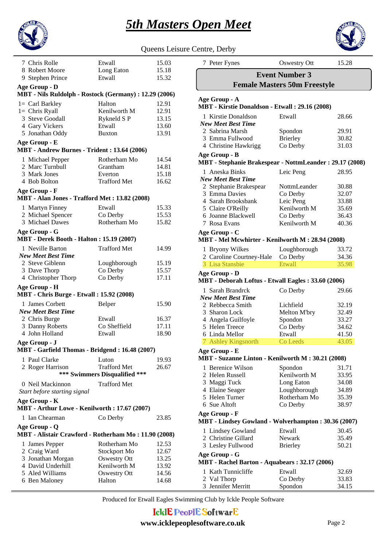



| Queens Leisure Centre, Derby |  |  |
|------------------------------|--|--|

| 7 Chris Rolle                                         | Etwall                        | 15.03 |
|-------------------------------------------------------|-------------------------------|-------|
| 8 Robert Moore                                        | Long Eaton                    | 15.18 |
| 9 Stephen Prince                                      | Etwall                        | 15.32 |
| Age Group - D                                         |                               |       |
| MBT - Nils Ruldolph - Rostock (Germany): 12.29 (2006) |                               |       |
| $l = \text{Carl Barkley}$                             | Halton                        | 12.91 |
| $1=$ Chris Ryall                                      | Kenilworth M                  | 12.91 |
| 3 Steve Goodall                                       | Rykneld SP                    | 13.15 |
| 4 Gary Vickers                                        | Etwall                        | 13.60 |
| 5 Jonathan Oddy                                       | <b>Buxton</b>                 | 13.91 |
| Age Group - E                                         |                               |       |
| MBT - Andrew Burnes - Trident: 13.64 (2006)           |                               |       |
| 1 Michael Pepper                                      | Rotherham Mo                  | 14.54 |
| 2 Marc Turnbull                                       | Grantham                      | 14.81 |
| 3 Mark Jones                                          | Everton                       | 15.18 |
| 4 Bob Bolton                                          | <b>Trafford Met</b>           | 16.62 |
| Age Group - F                                         |                               |       |
| MBT - Alan Jones - Trafford Met: 13.82 (2008)         |                               |       |
| 1 Martyn Finney                                       | Etwall                        | 15.33 |
| 2 Michael Spencer                                     | Co Derby                      | 15.53 |
| 3 Michael Dawes                                       | Rotherham Mo                  | 15.82 |
| Age Group - G                                         |                               |       |
| <b>MBT</b> - Derek Booth - Halton: 15.19 (2007)       |                               |       |
| 1 Neville Barton                                      | <b>Trafford Met</b>           | 14.99 |
| <b>New Meet Best Time</b>                             |                               |       |
| 2 Steve Giblenn                                       | Loughborough                  | 15.19 |
| 3 Dave Thorp                                          | Co Derby                      | 15.57 |
| 4 Christopher Thorp                                   | Co Derby                      | 17.11 |
| Age Group - H                                         |                               |       |
| <b>MBT</b> - Chris Burge - Etwall: 15.92 (2008)       |                               |       |
| 1 James Corbett                                       | Belper                        | 15.90 |
| <b>New Meet Best Time</b>                             |                               |       |
| 2 Chris Burge                                         | Etwall                        | 16.37 |
| 3 Danny Roberts                                       | Co Sheffield                  | 17.11 |
| 4 John Holland                                        | Etwall                        | 18.90 |
| Age Group - J                                         |                               |       |
| MBT - Garfield Thomas - Bridgend: 16.48 (2007)        |                               |       |
| 1 Paul Clarke                                         | Luton                         | 19.93 |
| 2 Roger Harrison                                      | <b>Trafford Met</b>           | 26.67 |
|                                                       | *** Swimmers Disqualified *** |       |
| 0 Neil Mackinnon                                      | <b>Trafford Met</b>           |       |
| Start before starting signal                          |                               |       |
| Age Group - K                                         |                               |       |
| MBT - Arthur Lowe - Kenilworth: 17.67 (2007)          |                               |       |
| 1 Ian Chearman                                        | Co Derby                      | 23.85 |
| Age Group - Q                                         |                               |       |
| MBT - Alistair Crawford - Rotherham Mo: 11.90 (2008)  |                               |       |
| 1 James Pepper                                        | Rotherham Mo                  | 12.53 |
| 2 Craig Ward                                          | Stockport Mo                  | 12.67 |
| 3 Jonathan Morgan                                     | <b>Oswestry Ott</b>           | 13.25 |
| 4 David Underhill                                     | Kenilworth M                  | 13.92 |
| 5 Aled Williams                                       | <b>Oswestry Ott</b>           | 14.56 |
| 6 Ben Maloney                                         | Halton                        | 14.68 |

| 7 Peter Fynes                                                            | <b>Oswestry Ott</b>         | 15.28          |  |  |
|--------------------------------------------------------------------------|-----------------------------|----------------|--|--|
|                                                                          | <b>Event Number 3</b>       |                |  |  |
| <b>Female Masters 50m Freestyle</b>                                      |                             |                |  |  |
|                                                                          |                             |                |  |  |
| Age Group - A<br>MBT - Kirstie Donaldson - Etwall: 29.16 (2008)          |                             |                |  |  |
| 1 Kirstie Donaldson<br><b>New Meet Best Time</b>                         | Etwall                      | 28.66          |  |  |
| 2 Sabrina Marsh                                                          | Spondon                     | 29.91          |  |  |
| 3 Emma Fullwood<br>4 Christine Hawkrigg                                  | <b>Brierley</b><br>Co Derby | 30.82<br>31.03 |  |  |
|                                                                          |                             |                |  |  |
| Age Group - B<br>MBT - Stephanie Brakespear - NottmLeander: 29.17 (2008) |                             |                |  |  |
| 1 Aneska Binks                                                           | Leic Peng                   | 28.95          |  |  |
| <b>New Meet Best Time</b>                                                | NottmLeander                |                |  |  |
| 2 Stephanie Brakespear<br>3 Emma Davies                                  | Co Derby                    | 30.88<br>32.07 |  |  |
| 4 Sarah Brooksbank                                                       | Leic Peng                   | 33.88          |  |  |
| 5 Claire O'Reilly                                                        | Kenilworth M                | 35.69          |  |  |
| 6 Joanne Blackwell                                                       | Co Derby                    | 36.43          |  |  |
| 7 Rosa Evans                                                             | Kenilworth M                | 40.36          |  |  |
| Age Group - C                                                            |                             |                |  |  |
| MBT - Mel Mcwhirter - Kenilworth M: 28.94 (2008)                         |                             |                |  |  |
| 1 Bryony Wilkes                                                          | Loughborough                | 33.72          |  |  |
| 2 Caroline Courtney-Hale                                                 | Co Derby                    | 34.36          |  |  |
| 3 Lisa Stansbie                                                          | Etwall                      | 35.98          |  |  |
| Age Group - D                                                            |                             |                |  |  |
| MBT - Deborah Loftus - Etwall Eagles: 33.60 (2006)                       |                             |                |  |  |
| 1 Sarah Brandrck                                                         | Co Derby                    | 29.66          |  |  |
| <b>New Meet Best Time</b>                                                |                             |                |  |  |
| 2 Rebbecca Smith                                                         | Lichfield                   | 32.19          |  |  |
| 3 Sharon Lock                                                            | Melton M'bry                | 32.49          |  |  |
| 4 Angela Guilfoyle<br>5 Helen Treece                                     | Spondon                     | 33.27<br>34.62 |  |  |
| 6 Linda Mellor                                                           | Co Derby<br>Etwall          | 41.50          |  |  |
| 7 Ashley Kingsnorth                                                      | Co Leeds                    | 43.05          |  |  |
| Age Group - E                                                            |                             |                |  |  |
| MBT - Suzanne Linton - Kenilworth M : 30.21 (2008)                       |                             |                |  |  |
| <b>Berenice Wilson</b><br>1.                                             | Spondon                     | 31.71          |  |  |
| 2 Helen Russell                                                          | Kenilworth M                | 33.95          |  |  |
| 3 Maggi Tuck                                                             | Long Eaton                  | 34.08          |  |  |
| 4 Elaine Seager                                                          | Loughborough                | 34.89          |  |  |
| 5 Helen Turner                                                           | Rotherham Mo                | 35.39          |  |  |
| 6 Sue Altoft                                                             | Co Derby                    | 38.97          |  |  |
| Age Group - F                                                            |                             |                |  |  |
| MBT - Lindsey Gowland - Wolverhampton: 30.36 (2007)                      |                             |                |  |  |
| 1 Lindsey Gowland                                                        | Etwall                      | 30.45          |  |  |
| 2 Christine Gillard                                                      | Newark                      | 35.49          |  |  |
| 3 Lesley Fullwood                                                        | <b>Brierley</b>             | 50.21          |  |  |
| Age Group - G                                                            |                             |                |  |  |
| MBT - Rachel Barton - Aquabears: 32.17 (2006)                            |                             |                |  |  |
| 1 Kath Tunnicliffe                                                       | Etwall                      | 32.69          |  |  |
| 2 Val Thorp                                                              | Co Derby                    | 33.83          |  |  |
| 3 Jennifer Merritt                                                       | Spondon                     | 34.15          |  |  |

Produced for Etwall Eagles Swimming Club by Ickle People Software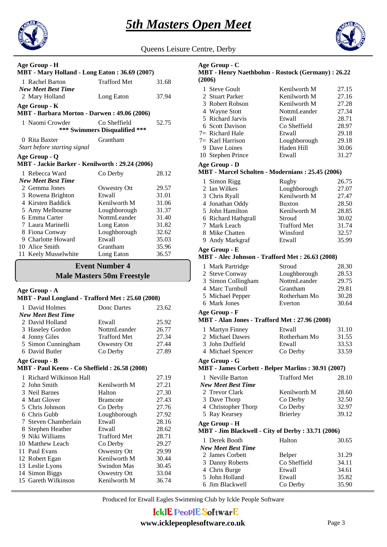



Queens Leisure Centre, Derby

| Age Group - H                                                   |                                               |                |  |
|-----------------------------------------------------------------|-----------------------------------------------|----------------|--|
| MBT - Mary Holland - Long Eaton: 36.69 (2007)                   |                                               |                |  |
| 1 Rachel Barton                                                 | <b>Trafford Met</b>                           | 31.68          |  |
| <b>New Meet Best Time</b>                                       |                                               |                |  |
| 2 Mary Holland                                                  | Long Eaton                                    | 37.94          |  |
| Age Group - K                                                   |                                               |                |  |
| MBT - Barbara Morton - Darwen: 49.06 (2006)                     |                                               |                |  |
| 1 Naomi Crowder                                                 | Co Sheffield<br>*** Swimmers Disqualified *** | 52.75          |  |
|                                                                 | Grantham                                      |                |  |
| 0 Rita Baxter<br>Start before starting signal                   |                                               |                |  |
|                                                                 |                                               |                |  |
| Age Group - Q<br>MBT - Jackie Barker - Kenilworth: 29.24 (2006) |                                               |                |  |
| 1 Rebecca Ward                                                  | Co Derby                                      | 28.12          |  |
| New Meet Best Time                                              |                                               |                |  |
| 2 Gemma Jones                                                   | <b>Oswestry Ott</b>                           | 29.57          |  |
| 3 Rowena Brighton                                               | Etwall                                        | 31.01          |  |
| 4 Kirsten Baddick                                               | Kenilworth M                                  | 31.06          |  |
| 5 Amy Melbourne                                                 | Loughborough                                  | 31.37          |  |
| 6 Emma Carter                                                   | NottmLeander                                  | 31.40          |  |
| 7 Laura Marinelli                                               | Long Eaton                                    | 31.82          |  |
| 8 Fiona Conway                                                  | Loughborough                                  | 32.62          |  |
| 9 Charlotte Howard                                              | Etwall                                        | 35.03          |  |
| 10 Alice Smith                                                  | Grantham                                      | 35.96          |  |
| 11 Keely Musselwhite                                            | Long Eaton                                    | 36.57          |  |
| <b>Event Number 4</b>                                           |                                               |                |  |
|                                                                 |                                               |                |  |
|                                                                 | <b>Male Masters 50m Freestyle</b>             |                |  |
| Age Group - A                                                   |                                               |                |  |
| MBT - Paul Longland - Trafford Met: 25.60 (2008)                |                                               |                |  |
|                                                                 |                                               |                |  |
| 1 David Holmes<br><b>New Meet Best Time</b>                     | Donc Dartes                                   | 23.62          |  |
| 2 David Holland                                                 | Etwall                                        |                |  |
|                                                                 | NottmLeander                                  | 25.92<br>26.77 |  |
| 3 Haseley Gordon                                                | <b>Trafford Met</b>                           | 27.34          |  |
| 4 Jonny Giles<br>5 Simon Cunningham                             | <b>Oswestry Ott</b>                           | 27.44          |  |
| 6 David Butler                                                  | Co Derby                                      | 27.89          |  |
|                                                                 |                                               |                |  |
| Age Group - B<br>MBT - Paul Keens - Co Sheffield: 26.58 (2008)  |                                               |                |  |
|                                                                 |                                               |                |  |
| 1 Richard Wilkinson Hall                                        |                                               | 27.19          |  |
| 2 John Smith                                                    | Kenilworth M                                  | 27.21          |  |
| 3 Neil Barnes                                                   | Halton                                        | 27.30          |  |
| 4 Matt Glover                                                   | <b>Bramcote</b>                               | 27.43          |  |
| 5 Chris Johnson<br>6 Chris Gubb                                 | Co Derby                                      | 27.76          |  |
| 7 Steven Chamberlain                                            | Loughborough<br>Etwall                        | 27.92          |  |
|                                                                 | Etwall                                        | 28.16          |  |
| 8 Stephen Heather                                               | <b>Trafford Met</b>                           | 28.62          |  |
| 9 Niki Williams<br>10 Matthew Leach                             |                                               | 28.71          |  |
| 11 Paul Evans                                                   | Co Derby                                      | 29.27<br>29.99 |  |
| 12 Robert Egan                                                  | <b>Oswestry Ott</b><br>Kenilworth M           | 30.44          |  |

14 Simon Biggs Oswestry Ott 33.04 15 Gareth Wilkinson Kenilworth M 36.74

#### 1 Steve Goult **Kenilworth M** 27.15 **MBT - Henry Naethbohm - Rostock (Germany) : 26.22 (2006) Age Group - C** 2 Stuart Parker Kenilworth M 27.16 3 Robert Robson Kenilworth M 27.28 4 Wayne Stott **NottmLeander** 27.34 5 Richard Jarvis Etwall 28.71 6 Scott Davison Co Sheffield 28.97  $7 =$  Richard Hale Etwall 29.18  $7=$  Karl Harrison Loughborough 29.18 9 Dave Loines Haden Hill 30.06 10 Stephen Prince Etwall 31.27 1 Simon Rigg Rugby 26.75 **MBT - Marcel Scholten - Modernians : 25.45 (2006) Age Group - D** 2 Ian Wilkes Loughborough 27.07 3 Chris Ryall Kenilworth M 27.47 4 Jonathan Oddy Buxton 28.50 5 John Hamilton Kenilworth M 28.85 6 Richard Hathgrall Stroud 30.02 7 Mark Leach Trafford Met 31.74 8 Mike Chatten Winsford 32.57 9 Andy Markgraf Etwall 35.99 1 Mark Partridge Stroud 28.30 **MBT - Alec Johnson - Trafford Met : 26.63 (2008) Age Group - E** 2 Steve Conway Loughborough 28.53 3 Simon Collingham NottmLeander 29.75<br>4 Marc Turnbull Grantham 29.81 4 Marc Turnbull Grantham 5 Michael Pepper Rotherham Mo 30.28 6 Mark Jones Everton 30.64 1 Martyn Finney Etwall 31.10 **MBT - Alan Jones - Trafford Met : 27.96 (2008) Age Group - F** 2 Michael Dawes Rotherham Mo 31.55 3 John Duffield Etwall 33.53 4 Michael Spencer Co Derby 33.59 1 Neville Barton Trafford Met 28.10 *New Meet Best Time* **MBT - James Corbett - Belper Marlins : 30.91 (2007) Age Group - G** 2 Trevor Clark Kenilworth M 28.60 3 Dave Thorp Co Derby 32.50 4 Christopher Thorp Co Derby 32.97 5 Ray Kearsey Brierley 39.12 1 Derek Booth Halton 30.65 *New Meet Best Time* **MBT - Jim Blackwell - City of Derby : 33.71 (2006) Age Group - H** 2 James Corbett Belper 31.29 3 Danny Roberts Co Sheffield 34.11 4 Chris Burge Etwall 34.61 5 John Holland Etwall 35.82

6 Jim Blackwell Co Derby 35.90

Produced for Etwall Eagles Swimming Club by Ickle People Software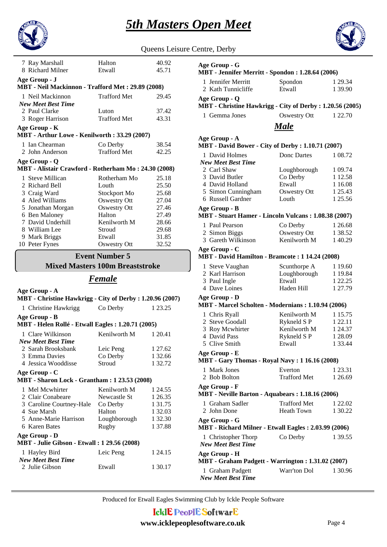



| Queens Leisure Centre, Derby |  |  |
|------------------------------|--|--|
|                              |  |  |

| 7 Ray Marshall                                       | Halton              | 40.92 |
|------------------------------------------------------|---------------------|-------|
| 8 Richard Milner                                     | Etwall              | 45.71 |
| Age Group - J                                        |                     |       |
| MBT - Neil Mackinnon - Trafford Met: 29.89 (2008)    |                     |       |
| 1 Neil Mackinnon                                     | <b>Trafford Met</b> | 29.45 |
| <b>New Meet Best Time</b>                            |                     |       |
| 2 Paul Clarke                                        | Luton               | 37.42 |
| 3 Roger Harrison                                     | <b>Trafford Met</b> | 43.31 |
| Age Group - K                                        |                     |       |
| MBT - Arthur Lowe - Kenilworth: 33.29 (2007)         |                     |       |
| 1 Ian Chearman                                       | Co Derby            | 38.54 |
| 2 John Anderson                                      | Trafford Met        | 42.25 |
| Age Group - Q                                        |                     |       |
| MBT - Alistair Crawford - Rotherham Mo: 24.30 (2008) |                     |       |
| 1 Steve Millican                                     | Rotherham Mo        | 25.18 |
| 2 Richard Bell                                       | Louth               | 25.50 |
| 3 Craig Ward                                         | Stockport Mo        | 25.68 |
| 4 Aled Williams                                      | <b>Oswestry Ott</b> | 27.04 |
| 5 Jonathan Morgan                                    | Oswestry Ott        | 27.46 |
| 6 Ben Maloney                                        | Halton              | 27.49 |
| 7 David Underhill                                    | Kenilworth M        | 28.66 |
| 8 William Lee                                        | Stroud              | 29.68 |
| 9 Mark Briggs                                        | Etwall              | 31.85 |
| 10 Peter Fynes                                       | Oswestry Ott        | 32.52 |

#### **Mixed Masters 100m Breaststroke Event Number 5**

# *Female*

| Age Group - A<br>MBT - Christine Hawkrigg - City of Derby : 1.20.96 (2007) |              |         |  |
|----------------------------------------------------------------------------|--------------|---------|--|
| 1 Christine Hawkrigg                                                       | Co Derby     | 1 23.25 |  |
| Age Group - B<br>MBT - Helen Rollé - Etwall Eagles : 1.20.71 (2005)        |              |         |  |
| 1 Clare Wilkinson                                                          | Kenilworth M | 1 20.41 |  |
| <b>New Meet Best Time</b>                                                  |              |         |  |
| 2. Sarah Brooksbank                                                        | Leic Peng    | 1 27.62 |  |
| 3 Emma Davies                                                              | Co Derby     | 1 32.66 |  |
| 4 Jessica Wooddisse                                                        | Stroud       | 1 32.72 |  |
| Age Group - C<br><b>MBT</b> - Sharon Lock - Grantham : 1 23.53 (2008)      |              |         |  |
| 1 Mel Mcwhirter                                                            | Kenilworth M | 1 24.55 |  |
| 2 Clair Conabeare                                                          | Newcastle St | 1 26.35 |  |
| 3 Caroline Courtney-Hale Co Derby                                          |              | 1 31.75 |  |
| 4 Sue Marsh                                                                | Halton       | 1 32.03 |  |
| 5 Anne-Marie Harrison                                                      | Loughborough | 1 32.30 |  |
| 6 Karen Bates                                                              | Rugby        | 1 37.88 |  |
| Age Group - D<br><b>MBT</b> - Julie Gibson - Etwall : 1 29.56 (2008)       |              |         |  |
| 1 Hayley Bird<br><b>New Meet Best Time</b>                                 | Leic Peng    | 1 24 15 |  |
| 2 Julie Gibson                                                             | Etwall       | 1 30.17 |  |

| Age Group - G<br>MBT - Jennifer Merritt - Spondon: 1.28.64 (2006)          |                                |                    |
|----------------------------------------------------------------------------|--------------------------------|--------------------|
| 1 Jennifer Merritt<br>2 Kath Tunnicliffe                                   | Spondon<br>Etwall              | 1 29.34<br>1 39.90 |
| Age Group - Q<br>MBT - Christine Hawkrigg - City of Derby : 1.20.56 (2005) |                                |                    |
| 1 Gemma Jones                                                              | Oswestry Ott                   | 1 22.70            |
|                                                                            | <b>Male</b>                    |                    |
| Age Group - A<br>MBT - David Bower - City of Derby: 1.10.71 (2007)         |                                |                    |
| 1 David Holmes<br><b>New Meet Best Time</b>                                | Donc Dartes                    | 1 08.72            |
| 2 Carl Shaw                                                                | Loughborough                   | 1 09.74            |
| 3 David Butler                                                             | Co Derby                       | 1 12.58            |
| 4 David Holland                                                            | Etwall                         | 1 1 6.08           |
| 5 Simon Cunningham                                                         | <b>Oswestry Ott</b>            | 1 25.43            |
| 6 Russell Gardner                                                          | Louth                          | 1 25.56            |
| Age Group - B<br>MBT - Stuart Hamer - Lincoln Vulcans: 1.08.38 (2007)      |                                |                    |
| 1 Paul Pearson                                                             | Co Derby                       | 1 26.68            |
| 2 Simon Biggs                                                              | <b>Oswestry Ott</b>            | 1 38.52            |
| 3 Gareth Wilkinson                                                         | Kenilworth M                   | 140.29             |
| Age Group - C                                                              |                                |                    |
| MBT - David Hamilton - Bramcote: 1 14.24 (2008)                            |                                |                    |
| 1 Steve Vaughan                                                            | Scunthorpe A                   | 1 19.60            |
| 2 Karl Harrison                                                            | Loughborough                   | 1 19.84            |
| 3 Paul Ingle                                                               | Etwall                         | 1 22.25            |
| 4 Dave Loines                                                              | Haden Hill                     | 1 27.79            |
| Age Group - D<br>MBT - Marcel Scholten - Modernians: 1.10.94 (2006)        |                                |                    |
| 1 Chris Ryall                                                              | Kenilworth M                   | 1 15.75            |
| 2 Steve Goodall                                                            | Rykneld S P                    | 1 22.11            |
| 3 Roy Mcwhirter                                                            | Kenilworth M                   | 1 24.37            |
| 4 David Pass                                                               | Rykneld S P                    | 1 28.09            |
| 5 Clive Smith                                                              | Etwall                         | 1 33.44            |
| Age Group - E<br><b>MBT</b> - Gary Thomas - Royal Navy: 1 16.16 (2008)     |                                |                    |
|                                                                            |                                |                    |
| 1 Mark Jones<br>2 Bob Bolton                                               | Everton<br><b>Trafford Met</b> | 1 23.31<br>1 26.69 |
| Age Group - F<br>MBT - Neville Barton - Aquabears : 1.18.16 (2006)         |                                |                    |
| 1 Graham Sadler                                                            | <b>Trafford Met</b>            | 1 22.02            |
| 2 John Done                                                                | <b>Heath Town</b>              | 1 30.22            |
| Age Group - G<br>MBT - Richard Milner - Etwall Eagles: 2.03.99 (2006)      |                                |                    |
| 1 Christopher Thorp<br><b>New Meet Best Time</b>                           | Co Derby                       | 1 39.55            |
| Age Group - H                                                              |                                |                    |
| MBT - Graham Padgett - Warrington: 1.31.02 (2007)                          |                                |                    |
| 1 Graham Padgett<br><b>New Meet Best Time</b>                              | Warr'ton Dol                   | 1 30.96            |

Produced for Etwall Eagles Swimming Club by Ickle People Software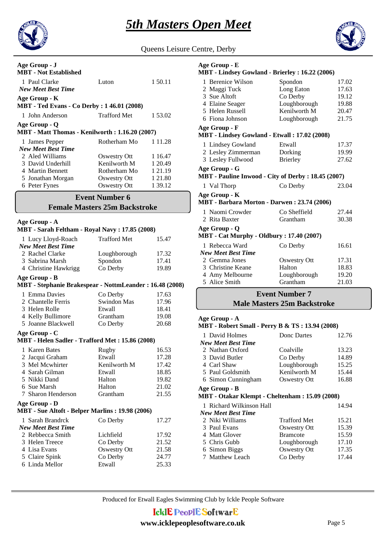

Queens Leisure Centre, Derby

| Age Group - J<br><b>MBT</b> - Not Established                       |                |             |
|---------------------------------------------------------------------|----------------|-------------|
| 1 Paul Clarke<br><b>New Meet Best Time</b>                          | Luton          | 1 50.11     |
| Age Group - K<br><b>MBT</b> - Ted Evans - Co Derby : 1 46.01 (2008) |                |             |
| 1 John Anderson                                                     | Trafford Met   | 1 53.02     |
| Age Group - Q<br>MBT - Matt Thomas - Kenilworth: 1.16.20 (2007)     |                |             |
| 1 James Pepper                                                      | Rotherham Mo   | 1 1 1 . 2 8 |
| <b>New Meet Best Time</b>                                           |                |             |
| 2 Aled Williams                                                     | Oswestry Ott   | 1 16.47     |
| 3 David Underhill                                                   | Kenilworth M   | 1 20.49     |
| 4 Martin Bennett                                                    | Rotherham Mo   | 1 21.19     |
| 5 Jonathan Morgan                                                   | Oswestry Ott   | 1 21.80     |
| 6 Peter Fynes                                                       | Oswestry Ott   | 1 39.12     |
| m.                                                                  | $\blacksquare$ |             |

#### **Female Masters 25m Backstroke Event Number 6**

| Age Group - A<br>MBT - Sarah Feltham - Royal Navy: 17.85 (2008)          |                     |       |
|--------------------------------------------------------------------------|---------------------|-------|
| 1 Lucy Lloyd-Roach<br><b>New Meet Best Time</b>                          | <b>Trafford Met</b> | 15.47 |
| 2 Rachel Clarke                                                          | Loughborough        | 17.32 |
| 3 Sabrina Marsh                                                          | Spondon             | 17.41 |
| 4 Christine Hawkrigg                                                     | Co Derby            | 19.89 |
| Age Group - B<br>MBT - Stephanie Brakespear - NottmLeander: 16.48 (2008) |                     |       |
| 1 Emma Davies                                                            | Co Derby            | 17.63 |
| 2 Chantelle Ferris                                                       | Swindon Mas         | 17.96 |
| 3 Helen Rolle                                                            | Etwall              | 18.41 |
| 4 Kelly Bullimore                                                        | Grantham            | 19.08 |
| 5 Joanne Blackwell                                                       | Co Derby            | 20.68 |
| Age Group - C<br>MBT - Helen Sadler - Trafford Met: 15.86 (2008)         |                     |       |
| 1 Karen Bates                                                            | Rugby               | 16.53 |
| 2 Jacqui Graham                                                          | Etwall              | 17.28 |
| 3 Mel Mcwhirter                                                          | Kenilworth M        | 17.42 |
| 4 Sarah Gilman                                                           | Etwall              | 18.85 |
| 5 Nikki Dand                                                             | Halton              | 19.82 |
| 6 Sue Marsh                                                              | Halton              | 21.02 |
| 7 Sharon Henderson                                                       | Grantham            | 21.55 |
| Age Group - D<br><b>MBT</b> - Sue Altoft - Belper Marlins: 19.98 (2006)  |                     |       |
| 1 Sarah Brandrck<br><b>New Meet Best Time</b>                            | Co Derby            | 17.27 |
| 2 Rebbecca Smith                                                         | Lichfield           | 17.92 |
| 3 Helen Treece                                                           | Co Derby            | 21.52 |
| 4 Lisa Evans                                                             | Oswestry Ott        | 21.58 |
| 5 Claire Spink                                                           | Co Derby            | 24.77 |
| 6 Linda Mellor                                                           | Etwall              | 25.33 |

# **Age Group - E**

#### **MBT - Lindsey Gowland - Brierley : 16.22 (2006)**

| 1 Berenice Wilson                                         | Spondon         | 17.02 |
|-----------------------------------------------------------|-----------------|-------|
| 2 Maggi Tuck                                              | Long Eaton      | 17.63 |
| 3 Sue Altoft                                              | Co Derby        | 19.12 |
| 4 Elaine Seager                                           | Loughborough    | 19.88 |
| 5 Helen Russell                                           | Kenilworth M    | 20.47 |
| 6 Fiona Johnson                                           | Loughborough    | 21.75 |
| Age Group - F                                             |                 |       |
| MBT - Lindsey Gowland - Etwall: 17.02 (2008)              |                 |       |
| 1 Lindsey Gowland                                         | Etwall          | 17.37 |
| 2 Lesley Zimmerman                                        | Dorking         | 19.99 |
| 3 Lesley Fullwood                                         | <b>Brierley</b> | 27.62 |
| Age Group - G                                             |                 |       |
| <b>MBT</b> - Pauline Inwood - City of Derby: 18.45 (2007) |                 |       |
| 1 Val Thorp                                               | Co Derby        | 23.04 |
| Age Group - K                                             |                 |       |
| MBT - Barbara Morton - Darwen: 23.74 (2006)               |                 |       |
| 1 Naomi Crowder                                           | Co Sheffield    | 27.44 |
| 2 Rita Baxter                                             | Grantham        | 30.38 |
| Age Group - Q                                             |                 |       |
| <b>MBT</b> - Cat Murphy - Oldbury: 17.40 (2007)           |                 |       |
| 1 Rebecca Ward                                            | Co Derby        | 16.61 |
| <b>New Meet Best Time</b>                                 |                 |       |
| 2 Gemma Jones                                             | Oswestry Ott    | 17.31 |
| 3 Christine Keane                                         | Halton          | 18.83 |
| 4 Amy Melbourne                                           | Loughborough    | 19.20 |
| 5 Alice Smith                                             | Grantham        | 21.03 |

#### **Male Masters 25m Backstroke Event Number 7**

#### **Age Group - A**

#### **MBT - Robert Small - Perry B & TS : 13.94 (2008)**

| 1 David Holmes     | Donc Dartes  | 12.76 |
|--------------------|--------------|-------|
| New Meet Best Time |              |       |
| 2 Nathan Oxford    | Coalville    | 13.23 |
| 3 David Butler     | Co Derby     | 14.89 |
| 4 Carl Shaw        | Loughborough | 15.25 |
| 5 Paul Goldsmith   | Kenilworth M | 15.44 |
| 6 Simon Cunningham | Oswestry Ott | 16.88 |
|                    |              |       |

#### **Age Group - B**

## **MBT - Otakar Klempt - Cheltenham : 15.09 (2008)**

| 1 Richard Wilkinson Hall<br><b>New Meet Best Time</b> |                     | 14.94 |
|-------------------------------------------------------|---------------------|-------|
| 2 Niki Williams                                       | <b>Trafford Met</b> | 15.21 |
| 3 Paul Evans                                          | Oswestry Ott        | 15.39 |
| 4 Matt Glover                                         | <b>Bramcote</b>     | 15.59 |
| 5 Chris Gubb                                          | Loughborough        | 17.10 |
| 6 Simon Biggs                                         | <b>Oswestry Ott</b> | 17.35 |
| 7 Matthew Leach                                       | Co Derby            | 17.44 |
|                                                       |                     |       |

Produced for Etwall Eagles Swimming Club by Ickle People Software

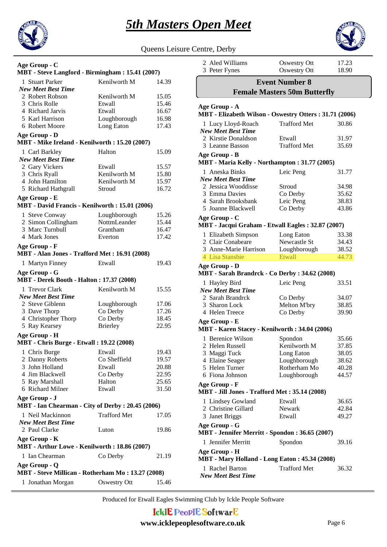



Queens Leisure Centre, Derby

|                                                                    |                        | guechs Ly      |
|--------------------------------------------------------------------|------------------------|----------------|
| Age Group - C                                                      |                        |                |
| MBT - Steve Langford - Birmingham: 15.41 (2007)                    |                        |                |
| 1 Stuart Parker                                                    | Kenilworth M           | 14.39          |
| <b>New Meet Best Time</b>                                          |                        |                |
| 2 Robert Robson                                                    | Kenilworth M           | 15.05          |
| 3 Chris Rolle<br>4 Richard Jarvis                                  | Etwall                 | 15.46          |
| 5 Karl Harrison                                                    | Etwall<br>Loughborough | 16.67<br>16.98 |
| 6 Robert Moore                                                     | Long Eaton             | 17.43          |
|                                                                    |                        |                |
| Age Group - D<br>MBT - Mike Ireland - Kenilworth: 15.20 (2007)     |                        |                |
| 1 Carl Barkley                                                     | Halton                 | 15.09          |
| <b>New Meet Best Time</b>                                          |                        |                |
| 2 Gary Vickers                                                     | Etwall                 | 15.57          |
| 3 Chris Ryall                                                      | Kenilworth M           | 15.80          |
| 4 John Hamilton                                                    | Kenilworth M           | 15.97          |
| 5 Richard Hathgrall                                                | Stroud                 | 16.72          |
| Age Group - E                                                      |                        |                |
| MBT - David Francis - Kenilworth: 15.01 (2006)                     |                        |                |
| 1 Steve Conway                                                     | Loughborough           | 15.26          |
| 2 Simon Collingham                                                 | NottmLeander           | 15.44          |
| 3 Marc Turnbull                                                    | Grantham               | 16.47          |
| 4 Mark Jones                                                       | Everton                | 17.42          |
| Age Group - F<br>MBT - Alan Jones - Trafford Met: 16.91 (2008)     |                        |                |
| 1 Martyn Finney                                                    | Etwall                 | 19.43          |
| Age Group - G<br><b>MBT</b> - Derek Booth - Halton: 17.37 (2008)   |                        |                |
| 1 Trevor Clark                                                     | Kenilworth M           | 15.55          |
| <b>New Meet Best Time</b>                                          |                        |                |
| 2 Steve Giblenn                                                    | Loughborough           | 17.06          |
| 3 Dave Thorp                                                       | Co Derby               | 17.26          |
| 4 Christopher Thorp                                                | Co Derby               | 18.45          |
| 5 Ray Kearsey                                                      | <b>Brierley</b>        | 22.95          |
| Age Group - H                                                      |                        |                |
| <b>MBT</b> - Chris Burge - Etwall: 19.22 (2008)                    |                        |                |
| 1 Chris Burge                                                      | Etwall                 | 19.43          |
| 2 Danny Roberts                                                    | Co Sheffield           | 19.57          |
| 3 John Holland                                                     | Etwall                 | 20.88          |
| 4 Jim Blackwell                                                    | Co Derby               | 22.95          |
| 5 Ray Marshall                                                     | Halton                 | 25.65          |
| 6 Richard Milner                                                   | Etwall                 | 31.50          |
| Age Group - J<br>MBT - Ian Chearman - City of Derby : 20.45 (2006) |                        |                |
| 1 Neil Mackinnon                                                   | <b>Trafford Met</b>    | 17.05          |
| <b>New Meet Best Time</b>                                          |                        |                |
| 2 Paul Clarke                                                      | Luton                  | 19.86          |
| Age Group - K<br>MBT - Arthur Lowe - Kenilworth: 18.86 (2007)      |                        |                |
| 1 Ian Chearman                                                     | Co Derby               | 21.19          |
| Age Group - Q                                                      |                        |                |
| MBT - Steve Millican - Rotherham Mo: 13.27 (2008)                  |                        |                |

1 Jonathan Morgan Oswestry Ott 15.46

| 2 Aled Williams<br>3 Peter Fynes                                        | <b>Oswestry Ott</b><br><b>Oswestry Ott</b> | 17.23<br>18.90 |
|-------------------------------------------------------------------------|--------------------------------------------|----------------|
|                                                                         | <b>Event Number 8</b>                      |                |
|                                                                         | <b>Female Masters 50m Butterfly</b>        |                |
|                                                                         |                                            |                |
| Age Group - A<br>MBT - Elizabeth Wilson - Oswestry Otters: 31.71 (2006) |                                            |                |
| 1 Lucy Lloyd-Roach                                                      | <b>Trafford Met</b>                        | 30.86          |
| <b>New Meet Best Time</b>                                               |                                            |                |
| 2 Kirstie Donaldson<br>3 Leanne Basson                                  | Etwall<br><b>Trafford Met</b>              | 31.97<br>35.69 |
| Age Group - B                                                           |                                            |                |
| MBT - Maria Kelly - Northampton: 31.77 (2005)                           |                                            |                |
| 1 Aneska Binks                                                          | Leic Peng                                  | 31.77          |
| <b>New Meet Best Time</b>                                               |                                            |                |
| 2 Jessica Wooddisse                                                     | Stroud                                     | 34.98          |
| 3 Emma Davies                                                           | Co Derby                                   | 35.62          |
| 4 Sarah Brooksbank                                                      | Leic Peng                                  | 38.83          |
| 5 Joanne Blackwell                                                      | Co Derby                                   | 43.86          |
| Age Group - C<br>MBT - Jacqui Graham - Etwall Eagles: 32.87 (2007)      |                                            |                |
| 1 Elizabeth Simpson                                                     | Long Eaton                                 | 33.38          |
| 2 Clair Conabeare                                                       | Newcastle St                               | 34.43          |
| 3 Anne-Marie Harrison                                                   | Loughborough                               | 38.52          |
| 4 Lisa Stansbie                                                         | Etwall                                     | 44.73          |
|                                                                         |                                            |                |
| <b>Age Group - D</b><br>MBT - Sarah Brandrck - Co Derby: 34.62 (2008)   |                                            |                |
| 1 Hayley Bird                                                           | Leic Peng                                  | 33.51          |
| <b>New Meet Best Time</b>                                               |                                            |                |
| 2 Sarah Brandrck                                                        | Co Derby                                   | 34.07          |
| 3 Sharon Lock                                                           | Melton M'bry                               | 38.85          |
| 4 Helen Treece                                                          | Co Derby                                   | 39.90          |
| Age Group - E                                                           |                                            |                |
| MBT - Karen Stacey - Kenilworth: 34.04 (2006)                           |                                            |                |
| 1 Berenice Wilson                                                       | Spondon                                    | 35.66          |
| 2 Helen Russell                                                         | Kenilworth M                               | 37.85          |
| 3 Maggi Tuck                                                            | Long Eaton                                 | 38.05          |
| 4 Elaine Seager                                                         | Loughborough                               | 38.62          |
| 5 Helen Turner                                                          | Rotherham Mo                               | 40.28          |
| 6 Fiona Johnson                                                         | Loughborough                               | 44.57          |
| Age Group - F                                                           |                                            |                |
| <b>MBT</b> - Jill Jones - Trafford Met: 35.14 (2008)                    |                                            |                |
| 1 Lindsey Gowland                                                       | Etwall                                     | 36.65          |
| 2 Christine Gillard                                                     | Newark                                     | 42.84          |
| 3 Janet Briggs                                                          | Etwall                                     | 49.27          |
| Age Group - G                                                           |                                            |                |
| <b>MBT</b> - Jennifer Merritt - Spondon : 36.65 (2007)                  |                                            |                |
| 1 Jennifer Merritt                                                      | Spondon                                    | 39.16          |
| <b>Age Group - H</b><br>MBT - Mary Holland - Long Eaton: 45.34 (2008)   |                                            |                |
|                                                                         |                                            |                |
| 1 Rachel Barton<br><b>New Meet Best Time</b>                            | <b>Trafford Met</b>                        | 36.32          |

Produced for Etwall Eagles Swimming Club by Ickle People Software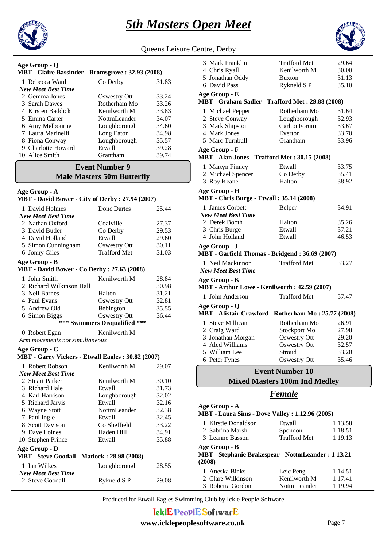



Queens Leisure Centre, Derby

#### 1 Rebecca Ward Co Derby 31.83 **MBT - Claire Bassinder - Bromsgrove : 32.93 (2008) Age Group - Q**

| <b>New Meet Best Time</b> |              |                                           |
|---------------------------|--------------|-------------------------------------------|
| 2 Gemma Jones             | Oswestry Ott | 33.24                                     |
| 3 Sarah Dawes             | Rotherham Mo | 33.26                                     |
| 4 Kirsten Baddick         | Kenilworth M | 33.83                                     |
| 5 Emma Carter             | NottmLeander | 34.07                                     |
| 6 Amy Melbourne           | Loughborough | 34.60                                     |
| 7 Laura Marinelli         | Long Eaton   | 34.98                                     |
| 8 Fiona Conway            | Loughborough | 35.57                                     |
| 9 Charlotte Howard        | Etwall       | 39.28                                     |
| 10 Alice Smith            | Grantham     | 39.74                                     |
|                           |              | $\sim$ $\sim$ $\sim$ $\sim$ $\sim$ $\sim$ |

### **Male Masters 50m Butterfly Event Number 9**

#### **Age Group - A**

| MBT - David Bower - City of Derby: 27.94 (2007)              |                               |       |
|--------------------------------------------------------------|-------------------------------|-------|
| 1 David Holmes                                               | Donc Dartes                   | 25.44 |
| <b>New Meet Best Time</b>                                    |                               |       |
| 2 Nathan Oxford                                              | Coalville                     | 27.37 |
| 3 David Butler                                               | Co Derby                      | 29.53 |
| 4 David Holland                                              | Etwall                        | 29.60 |
| 5 Simon Cunningham                                           | <b>Oswestry Ott</b>           | 30.11 |
| 6 Jonny Giles                                                | <b>Trafford Met</b>           | 31.03 |
| Age Group - B                                                |                               |       |
| <b>MBT</b> - David Bower - Co Derby: 27.63 (2008)            |                               |       |
| 1 John Smith                                                 | Kenilworth M                  | 28.84 |
| 2 Richard Wilkinson Hall                                     |                               | 30.98 |
| 3 Neil Barnes                                                | Halton                        | 31.21 |
| 4 Paul Evans                                                 | Oswestry Ott                  | 32.81 |
| 5 Andrew Old                                                 | Bebington                     | 35.55 |
| 6 Simon Biggs                                                | <b>Oswestry Ott</b>           | 36.44 |
|                                                              | *** Swimmers Disqualified *** |       |
| 0 Robert Egan                                                | Kenilworth M                  |       |
| Arm movements not simultaneous                               |                               |       |
| Age Group - C                                                |                               |       |
|                                                              |                               |       |
| MBT - Garry Vickers - Etwall Eagles: 30.82 (2007)            |                               |       |
| 1 Robert Robson                                              | Kenilworth M                  | 29.07 |
| <b>New Meet Best Time</b>                                    |                               |       |
| 2 Stuart Parker                                              | Kenilworth M                  | 30.10 |
| 3 Richard Hale                                               | Etwall                        | 31.73 |
| 4 Karl Harrison                                              | Loughborough                  | 32.02 |
| 5 Richard Jarvis                                             | Etwall                        | 32.16 |
| 6 Wayne Stott                                                | NottmLeander                  | 32.38 |
| 7 Paul Ingle                                                 | Etwall                        | 32.45 |
| 8 Scott Davison                                              | Co Sheffield                  | 33.22 |
| 9 Dave Loines                                                | Haden Hill                    | 34.91 |
| 10 Stephen Prince                                            | Etwall                        | 35.88 |
|                                                              |                               |       |
| Age Group - D<br>MBT - Steve Goodall - Matlock: 28.98 (2008) |                               |       |
| 1 Ian Wilkes                                                 | Loughborough                  | 28.55 |
| <b>New Meet Best Time</b>                                    |                               |       |
| 2 Steve Goodall                                              | Rykneld SP                    | 29.08 |

| Centre, Delby                                                        |                                      |         |
|----------------------------------------------------------------------|--------------------------------------|---------|
| 3 Mark Franklin                                                      | <b>Trafford Met</b>                  | 29.64   |
| 4 Chris Ryall                                                        | Kenilworth M                         | 30.00   |
| 5 Jonathan Oddy                                                      | <b>Buxton</b>                        | 31.13   |
| 6 David Pass                                                         | Rykneld S P                          | 35.10   |
| Age Group - E                                                        |                                      |         |
| MBT - Graham Sadler - Trafford Met: 29.88 (2008)                     |                                      |         |
| 1 Michael Pepper                                                     | Rotherham Mo                         | 31.64   |
| 2 Steve Conway                                                       | Loughborough                         | 32.93   |
| 3 Mark Shipston                                                      | CarltonForum                         | 33.67   |
| 4 Mark Jones                                                         | Everton                              | 33.70   |
| 5 Marc Turnbull                                                      | Grantham                             | 33.96   |
| Age Group - F                                                        |                                      |         |
| MBT - Alan Jones - Trafford Met: 30.15 (2008)                        |                                      |         |
| 1 Martyn Finney                                                      | Etwall                               | 33.75   |
| 2 Michael Spencer                                                    | Co Derby                             | 35.41   |
| 3 Roy Keane                                                          | Halton                               | 38.92   |
| Age Group - H                                                        |                                      |         |
| <b>MBT</b> - Chris Burge - Etwall: 35.14 (2008)                      |                                      |         |
| 1 James Corbett<br><b>New Meet Best Time</b>                         | Belper                               | 34.91   |
| 2 Derek Booth                                                        | Halton                               | 35.26   |
| 3 Chris Burge                                                        | Etwall                               | 37.21   |
| 4 John Holland                                                       | Etwall                               | 46.53   |
|                                                                      |                                      |         |
| Age Group - J<br>MBT - Garfield Thomas - Bridgend: 36.69 (2007)      |                                      |         |
| 1 Neil Mackinnon                                                     | <b>Trafford Met</b>                  | 33.27   |
| <b>New Meet Best Time</b>                                            |                                      |         |
| Age Group - K<br>MBT - Arthur Lowe - Kenilworth: 42.59 (2007)        |                                      |         |
| 1 John Anderson                                                      | <b>Trafford Met</b>                  | 57.47   |
| Age Group - Q                                                        |                                      |         |
| MBT - Alistair Crawford - Rotherham Mo: 25.77 (2008)                 |                                      |         |
| 1 Steve Millican                                                     | Rotherham Mo                         | 26.91   |
| 2 Craig Ward                                                         | Stockport Mo                         | 27.98   |
| 3 Jonathan Morgan                                                    | <b>Oswestry Ott</b>                  |         |
|                                                                      |                                      | 29.20   |
| 4 Aled Williams                                                      | <b>Oswestry Ott</b>                  | 32.57   |
| 5 William Lee                                                        | Stroud                               | 33.20   |
| 6 Peter Fynes                                                        | <b>Oswestry Ott</b>                  | 35.46   |
|                                                                      | <b>Event Number 10</b>               |         |
|                                                                      | <b>Mixed Masters 100m Ind Medley</b> |         |
|                                                                      | Female                               |         |
| Age Group - A                                                        |                                      |         |
| <b>MBT</b> - Laura Sims - Dove Valley: 1.12.96 (2005)                |                                      |         |
| 1 Kirstie Donaldson                                                  | Etwall                               | 1 13.58 |
| 2 Sabrina Marsh                                                      | Spondon                              | 1 18.51 |
| 3 Leanne Basson                                                      | <b>Trafford Met</b>                  | 1 19.13 |
| Age Group - B                                                        |                                      |         |
| <b>MBT</b> - Stephanie Brakespear - NottmLeander : 1 13.21<br>(2008) |                                      |         |
| 1 Aneska Binks                                                       | Leic Peng                            | 1 14.51 |
| 2 Clare Wilkinson                                                    | Kenilworth M                         |         |
|                                                                      |                                      | 1 17.41 |

3 Roberta Gordon NottmLeander 1 19.94

Produced for Etwall Eagles Swimming Club by Ickle People Software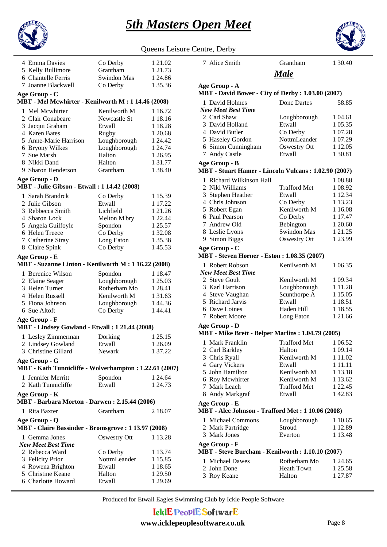



|                                                                                |                                     | Queens Leis                   |
|--------------------------------------------------------------------------------|-------------------------------------|-------------------------------|
| 4 Emma Davies<br>5 Kelly Bullimore<br>6 Chantelle Ferris<br>7 Joanne Blackwell | Co Derby<br>Grantham<br>Swindon Mas | 1 21.02<br>1 21.73<br>1 24.86 |
| Age Group - C                                                                  | Co Derby                            | 1 35.36                       |
| MBT - Mel Mcwhirter - Kenilworth M: 1 14.46 (2008)                             |                                     |                               |
| 1 Mel Mcwhirter                                                                | Kenilworth M                        | 1 16.72                       |
| 2 Clair Conabeare                                                              | Newcastle St                        | 1 18.16                       |
| 3 Jacqui Graham                                                                | Etwall                              | 1 18.28                       |
| 4 Karen Bates                                                                  | Rugby                               | 1 20.68                       |
| 5 Anne-Marie Harrison                                                          | Loughborough                        | 1 24.42                       |
| 6 Bryony Wilkes                                                                | Loughborough                        | 1 24.74                       |
| 7 Sue Marsh<br>8 Nikki Dand                                                    | Halton<br>Halton                    | 1 26.95<br>1 31.77            |
| 9 Sharon Henderson                                                             | Grantham                            | 1 38.40                       |
|                                                                                |                                     |                               |
| Age Group - D<br><b>MBT</b> - Julie Gibson - Etwall : 1 14.42 (2008)           |                                     |                               |
| 1 Sarah Brandrck                                                               | Co Derby                            | 1 15.39                       |
| 2 Julie Gibson                                                                 | Etwall                              | 1 17.22                       |
| 3 Rebbecca Smith                                                               | Lichfield                           | 1 21.26                       |
| 4 Sharon Lock                                                                  | Melton M'bry                        | 1 22.44                       |
| 5 Angela Guilfoyle                                                             | Spondon                             | 1 25.57                       |
| 6 Helen Treece                                                                 | Co Derby                            | 1 32.08                       |
| 7 Catherine Stray                                                              | Long Eaton                          | 1 35.38                       |
| 8 Claire Spink                                                                 | Co Derby                            | 145.53                        |
| Age Group - E<br>MBT - Suzanne Linton - Kenilworth M : 1 16.22 (2008)          |                                     |                               |
| 1 Berenice Wilson                                                              | Spondon                             | 1 18.47                       |
| 2 Elaine Seager                                                                | Loughborough                        | 1 25.03                       |
| 3 Helen Turner                                                                 | Rotherham Mo                        | 1 28.41                       |
| 4 Helen Russell                                                                | Kenilworth M                        | 1 31.63                       |
| 5 Fiona Johnson                                                                | Loughborough                        | 144.36                        |
| 6 Sue Altoft                                                                   | Co Derby                            | 144.41                        |
| Age Group - F<br>MBT - Lindsey Gowland - Etwall: 1 21.44 (2008)                |                                     |                               |
| 1 Lesley Zimmerman                                                             | Dorking                             | 1 25.15                       |
| 2 Lindsey Gowland                                                              | Etwall                              | 1 26.09                       |
| 3 Christine Gillard                                                            | Newark                              | 1 37.22                       |
| Age Group - G<br>MBT - Kath Tunnicliffe - Wolverhampton: 1.22.61 (2007)        |                                     |                               |
| 1 Jennifer Merritt                                                             | Spondon                             | 1 24.64                       |
| 2 Kath Tunnicliffe                                                             | Etwall                              | 1 24.73                       |
| Age Group - K<br>MBT - Barbara Morton - Darwen: 2.15.44 (2006)                 |                                     |                               |
| 1 Rita Baxter                                                                  | Grantham                            | 2 18.07                       |
| Age Group - Q<br>MBT - Claire Bassinder - Bromsgrove : 1 13.97 (2008)          |                                     |                               |
| 1 Gemma Jones                                                                  | Oswestry Ott                        | 1 13.28                       |
| <b>New Meet Best Time</b>                                                      |                                     |                               |
| 2 Rebecca Ward                                                                 | Co Derby                            | 1 13.74                       |
| 3 Felicity Prior                                                               | NottmLeander                        | 1 15.85                       |
| 4 Rowena Brighton<br>5 Christine Keane                                         | Etwall<br>Halton                    | 1 18.65                       |
| 6 Charlotte Howard                                                             | Etwall                              | 1 29.50<br>1 29.69            |
|                                                                                |                                     |                               |

| Queens Leisure Centre, Derby |  |
|------------------------------|--|
|                              |  |

1 David Holmes Donc Dartes 58.85 *New Meet Best Time* **MBT - David Bower - City of Derby : 1.03.00 (2007) Age Group - A** *Male* Loughborough 1 04.61 3 David Holland Etwall 1 05.35 4 David Butler Co Derby 1 07.28 5 Haseley Gordon NottmLeander 1 07.29 6 Simon Cunningham Oswestry Ott 1 12.05 7 Andy Castle Etwall 1 30.81 1 Richard Wilkinson Hall 1 08.88 **MBT - Stuart Hamer - Lincoln Vulcans : 1.02.90 (2007) Age Group - B** 2 Niki Williams Trafford Met 1 08.92 3 Stephen Heather Etwall 1 12.34 4 Chris Johnson Co Derby 1 13.23 5 Robert Egan Kenilworth M 1 16.08 6 Paul Pearson Co Derby 1 17.47 7 Andrew Old Bebington 1 20.60 8 Leslie Lyons Swindon Mas 1 21.25 9 Simon Biggs **Oswestry Ott** 1 23.99 1 Robert Robson Kenilworth M 1 06.35 *New Meet Best Time* **MBT - Steven Horner - Eston : 1.08.35 (2007) Age Group - C** 2 Steve Goult Kenilworth M 1 09.34 3 Karl Harrison Loughborough 1 11.28 4 Steve Vaughan Scunthorpe A 1 15.05 5 Richard Jarvis Etwall 1 18.51 6 Dave Loines Haden Hill 18.55 7 Robert Moore Long Eaton 1 21.66 1 Mark Franklin Trafford Met 1 06.52 **MBT - Mike Brett - Belper Marlins : 1.04.79 (2005) Age Group - D** 2 Carl Barkley Halton 1 09.14 3 Chris Ryall Kenilworth M 1 11.02 4 Gary Vickers Etwall 1 11.11 5 John Hamilton Kenilworth M 1 13.18 6 Roy Mcwhirter Kenilworth M 1 13.62<br>
7 Mark Leach Trafford Met 1 22.45 7 Mark Leach 8 Andy Markgraf Etwall 1 42.83 1 Michael Commons Loughborough 1 10.65 **MBT - Alec Johnson - Trafford Met : 1 10.06 (2008) Age Group - E** 2 Mark Partridge Stroud 1 12.89 3 Mark Jones Everton 1 13.48 1 Michael Dawes Rotherham Mo 1 24.65 **MBT - Steve Burcham - Kenilworth : 1.10.10 (2007) Age Group - F** 2 John Done Heath Town 1 25.58 3 Roy Keane Halton 1 27.87

7 Alice Smith Grantham 1 30.40

Produced for Etwall Eagles Swimming Club by Ickle People Software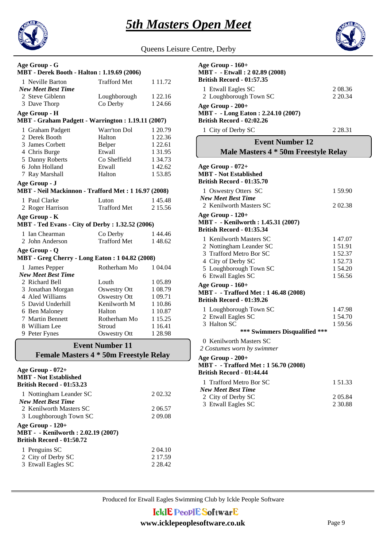



| Queens Leisure Centre, Derby |  |  |
|------------------------------|--|--|

| Age Group - G<br><b>MBT</b> - Derek Booth - Halton: 1.19.69 (2006)                   |                        |             |  |
|--------------------------------------------------------------------------------------|------------------------|-------------|--|
| 1 Neville Barton<br><b>New Meet Best Time</b>                                        | <b>Trafford Met</b>    | 1 1 1 . 7 2 |  |
| 2 Steve Giblenn                                                                      | Loughborough           | 1 22.16     |  |
| 3 Dave Thorp                                                                         | Co Derby               | 1 24.66     |  |
| Age Group - H                                                                        |                        |             |  |
| MBT - Graham Padgett - Warrington: 1.19.11 (2007)                                    |                        |             |  |
| 1 Graham Padgett                                                                     | Warr'ton Dol           | 1 20.79     |  |
| 2 Derek Booth                                                                        | Halton                 | 1 22.36     |  |
| 3 James Corbett                                                                      | Belper                 | 1 22.61     |  |
| 4 Chris Burge                                                                        | Etwall                 | 1 3 1 . 9 5 |  |
| 5 Danny Roberts                                                                      | Co Sheffield           | 1 34.73     |  |
| 6 John Holland                                                                       | Etwall                 | 142.62      |  |
| 7 Ray Marshall                                                                       | Halton                 | 1 53.85     |  |
| Age Group - J                                                                        |                        |             |  |
| MBT - Neil Mackinnon - Trafford Met: 1 16.97 (2008)                                  |                        |             |  |
| 1 Paul Clarke                                                                        | Luton                  | 145.48      |  |
| 2 Roger Harrison                                                                     | <b>Trafford Met</b>    | 2 15.56     |  |
| Age Group - K<br><b>MBT</b> - Ted Evans - City of Derby : 1.32.52 (2006)             |                        |             |  |
| 1 Ian Chearman                                                                       | Co Derby               | 144.46      |  |
| 2 John Anderson                                                                      | <b>Trafford Met</b>    | 148.62      |  |
| Age Group - Q<br><b>MBT</b> - Greg Cherry - Long Eaton : 1 04.82 (2008)              |                        |             |  |
|                                                                                      |                        |             |  |
| 1 James Pepper<br><b>New Meet Best Time</b>                                          | Rotherham Mo           | 1 04.04     |  |
| 2 Richard Bell                                                                       | Louth                  | 1 05.89     |  |
| 3 Jonathan Morgan                                                                    | <b>Oswestry Ott</b>    | 1 08.79     |  |
| 4 Aled Williams                                                                      | <b>Oswestry Ott</b>    | 1 09.71     |  |
| 5 David Underhill                                                                    | Kenilworth M           | 1 10.86     |  |
| 6 Ben Maloney                                                                        | Halton                 | 1 10.87     |  |
| 7 Martin Bennett                                                                     | Rotherham Mo           | 1 15.25     |  |
| 8 William Lee                                                                        | Stroud                 | 1 1 6.4 1   |  |
| 9 Peter Fynes                                                                        | <b>Oswestry Ott</b>    | 1 28.98     |  |
|                                                                                      | <b>Event Number 11</b> |             |  |
|                                                                                      |                        |             |  |
| <b>Female Masters 4 * 50m Freestyle Relay</b>                                        |                        |             |  |
| Age Group - 072+<br><b>MBT</b> - Not Established<br><b>British Record - 01:53.23</b> |                        |             |  |
| 1 Nottingham Leander SC<br><b>New Meet Best Time</b>                                 |                        | 202.32      |  |

2 Kenilworth Masters SC 206.57<br>3 Loughborough Town SC 209.08

1 2 04.10 Penguins SC

2 City of Derby SC 2 17.59 3 2 28.42 Etwall Eagles SC

3 Loughborough Town SC

**British Record - 01:50.72**

**Age Group - 120+**

**MBT - - Kenilworth : 2.02.19 (2007)**

| Age Group - 160+                                       |             |
|--------------------------------------------------------|-------------|
| MBT - - Etwall: 202.89 (2008)                          |             |
| <b>British Record - 01:57.35</b>                       |             |
| 1 Etwall Eagles SC                                     | 2 08.36     |
| 2 Loughborough Town SC                                 | 2 2 0.34    |
| Age Group - 200+                                       |             |
| <b>MBT</b> - - Long Eaton : 2.24.10 (2007)             |             |
| British Record - 02:02.26                              |             |
| 1 City of Derby SC                                     | 2 2 8 . 3 1 |
| <b>Event Number 12</b>                                 |             |
| Male Masters 4 * 50m Freestyle Relay                   |             |
| Age Group - 072+                                       |             |
| <b>MBT</b> - Not Established                           |             |
| <b>British Record - 01:35.70</b>                       |             |
|                                                        | 1 59.90     |
| 1 Oswestry Otters SC<br><b>New Meet Best Time</b>      |             |
| 2 Kenilworth Masters SC                                | 202.38      |
|                                                        |             |
| Age Group - 120+<br>MBT - - Kenilworth: 1.45.31 (2007) |             |
| <b>British Record - 01:35.34</b>                       |             |
|                                                        |             |
| 1 Kenilworth Masters SC                                | 147.07      |
| 2 Nottingham Leander SC                                | 151.91      |
| 3 Trafford Metro Bor SC                                | 1 52.37     |
| 4 City of Derby SC                                     | 1 52.73     |
| 5 Loughborough Town SC                                 | 154.20      |
| 6 Etwall Eagles SC                                     | 1 56.56     |
| Age Group - 160+                                       |             |
| MBT - - Trafford Met: 1 46.48 (2008)                   |             |
| <b>British Record - 01:39.26</b>                       |             |
| 1 Loughborough Town SC                                 | 147.98      |
| 2 Etwall Eagles SC                                     | 1 54.70     |
| 3 Halton SC                                            | 1 59.56     |
| *** Swimmers Disqualified ***                          |             |
| 0 Kenilworth Masters SC                                |             |
| 2 Costumes worn by swimmer                             |             |
| Age Group - 200+                                       |             |
| MBT - - Trafford Met: 1 56.70 (2008)                   |             |
| <b>British Record - 01:44.44</b>                       |             |
|                                                        |             |

| 1 Trafford Metro Bor SC   | 1.51.33 |
|---------------------------|---------|
| <b>New Meet Best Time</b> |         |
| 2 City of Derby SC        | 2 05.84 |
| 3 Etwall Eagles SC        | 2.30.88 |

Produced for Etwall Eagles Swimming Club by Ickle People Software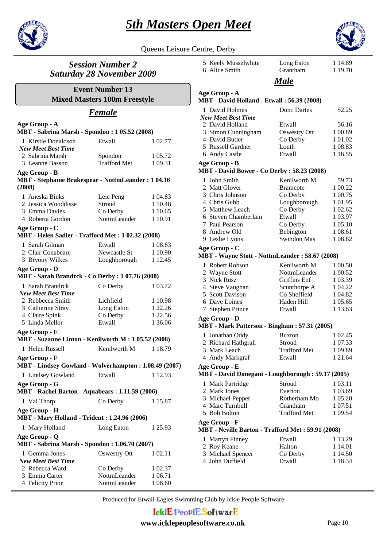



Queens Leisure Centre, Derby

# *Session Number 2 Saturday 28 November 2009*

**Mixed Masters 100m Freestyle Event Number 13**

# *Female*

| Age Group - A<br>MBT - Sabrina Marsh - Spondon : 1 05.52 (2008)                     |                     |         |
|-------------------------------------------------------------------------------------|---------------------|---------|
| 1 Kirstie Donaldson<br><b>New Meet Best Time</b>                                    | Etwall              | 1 02.77 |
| 2 Sabrina Marsh                                                                     | Spondon             | 1 05.72 |
| 3 Leanne Basson                                                                     | <b>Trafford Met</b> | 1 09.31 |
| Age Group - B<br><b>MBT</b> - Stephanie Brakespear - NottmLeander: 104.16<br>(2008) |                     |         |
| 1 Aneska Binks                                                                      | Leic Peng           | 1 04.83 |
| 2 Jessica Wooddisse                                                                 | Stroud              | 1 10.48 |
| 3 Emma Davies                                                                       | Co Derby            | 1 10.65 |
| 4 Roberta Gordon                                                                    | NottmLeander        | 1 10.91 |
| Age Group - C<br>MBT - Helen Sadler - Trafford Met : 1 02.32 (2008)                 |                     |         |
| 1 Sarah Gilman                                                                      | Etwall              | 1 08.63 |
| 2 Clair Conabeare                                                                   | Newcastle St        | 1 10.90 |
| 3 Bryony Wilkes                                                                     | Loughborough        | 1 12.45 |
| Age Group - D<br>MBT - Sarah Brandrck - Co Derby : 1 07.76 (2008)                   |                     |         |
| 1 Sarah Brandrck                                                                    | Co Derby            | 1 03.72 |
| <b>New Meet Best Time</b>                                                           |                     |         |
| 2 Rebbecca Smith                                                                    | Lichfield           | 1 10.98 |
| 3 Catherine Stray                                                                   | Long Eaton          | 1 22.26 |
| 4 Claire Spink                                                                      | Co Derby            | 1 22.56 |
| 5 Linda Mellor                                                                      | Etwall              | 1 36.06 |
| Age Group - E<br>MBT - Suzanne Linton - Kenilworth M : 1 05.52 (2008)               |                     |         |
| 1 Helen Russell                                                                     | Kenilworth M        | 1 18.79 |
| Age Group - F<br>MBT - Lindsey Gowland - Wolverhampton: 1.08.49 (2007)              |                     |         |
| 1 Lindsey Gowland                                                                   | Etwall              | 1 12.93 |
| Age Group - G                                                                       |                     |         |
| MBT - Rachel Barton - Aquabears: 1.11.59 (2006)                                     |                     |         |
| 1 Val Thorp                                                                         | Co Derby            | 1 15.87 |
| Age Group - H<br><b>MBT</b> - Mary Holland - Trident : 1.24.96 (2006)               |                     |         |
| 1 Mary Holland                                                                      | Long Eaton          | 1 25.93 |
| Age Group - Q<br><b>MBT</b> - Sabrina Marsh - Spondon: 1.06.70 (2007)               |                     |         |
| 1 Gemma Jones                                                                       | <b>Oswestry Ott</b> | 1 02.11 |
| <b>New Meet Best Time</b>                                                           |                     |         |
| 2 Rebecca Ward                                                                      | Co Derby            | 1 02.37 |
| 3 Emma Carter                                                                       | NottmLeander        | 1 06.71 |
| 4 Felicity Prior                                                                    | NottmLeander        | 1 08.60 |

|                                                                    | 5 Keely Musselwhite<br>6 Alice Smith                                | Long Eaton<br>Grantham   | 1 14.89<br>1 19.70 |
|--------------------------------------------------------------------|---------------------------------------------------------------------|--------------------------|--------------------|
|                                                                    |                                                                     | Male                     |                    |
|                                                                    |                                                                     |                          |                    |
|                                                                    | Age Group - A<br>MBT - David Holland - Etwall: 56.39 (2008)         |                          |                    |
|                                                                    | 1 David Holmes<br>New Meet Best Time                                | Donc Dartes              | 52.25              |
|                                                                    | 2 David Holland                                                     | Etwall                   | 56.16              |
|                                                                    | 3 Simon Cunningham                                                  | <b>Oswestry Ott</b>      | 1 00.89            |
|                                                                    | 4 David Butler                                                      | Co Derby                 | 1 01.02            |
|                                                                    | 5 Russell Gardner                                                   | Louth                    | 1 08.83            |
|                                                                    | 6 Andy Castle                                                       | Etwall                   | 1 1 6.55           |
|                                                                    | Age Group - B<br><b>MBT</b> - David Bower - Co Derby: 58.23 (2008)  |                          |                    |
|                                                                    | 1 John Smith                                                        | Kenilworth M             | 59.73              |
|                                                                    | 2 Matt Glover                                                       | <b>Bramcote</b>          | 1 00.22            |
|                                                                    | 3 Chris Johnson                                                     | Co Derby                 | 1 00.75            |
|                                                                    | 4 Chris Gubb                                                        | Loughborough             | 1 01.95            |
|                                                                    | 5 Matthew Leach                                                     | Co Derby                 | 1 02.62            |
|                                                                    | 6 Steven Chamberlain                                                | Etwall                   | 1 0 3.97           |
|                                                                    | 7 Paul Pearson                                                      | Co Derby                 | 1 05.10            |
|                                                                    | 8 Andrew Old                                                        | Bebington<br>Swindon Mas | 1 08.61            |
|                                                                    | 9 Leslie Lyons                                                      |                          | 1 08.62            |
|                                                                    | Age Group - C<br>MBT - Wayne Stott - NottmLeander: 58.67 (2008)     |                          |                    |
|                                                                    | 1 Robert Robson                                                     | Kenilworth M             | 1 00.50            |
|                                                                    | 2 Wayne Stott                                                       | NottmLeander             | 1 00.52            |
|                                                                    | 3 Nick Rusz                                                         | <b>Griffins Enf</b>      | 1 03.39            |
|                                                                    | 4 Steve Vaughan                                                     | Scunthorpe A             | 1 04.22            |
|                                                                    | 5 Scott Davison                                                     | Co Sheffield             | 1 04.82            |
|                                                                    | 6 Dave Loines                                                       | Haden Hill               | 1 05.65            |
|                                                                    | 7 Stephen Prince                                                    | Etwall                   | 1 13.63            |
|                                                                    | Age Group - D<br>MBT - Mark Patterson - Bingham: 57.31 (2005)       |                          |                    |
|                                                                    | 1 Jonathan Oddy                                                     | <b>Buxton</b>            | 1 02.45            |
|                                                                    | 2 Richard Hathgrall                                                 | Stroud                   | 1 07.33            |
|                                                                    | 3 Mark Leach                                                        | <b>Trafford Met</b>      | 1 09.89            |
|                                                                    | 4 Andy Markgraf                                                     | Etwall                   | 1 21.64            |
| Age Group - E<br>MBT - David Donegani - Loughborough: 59.17 (2005) |                                                                     |                          |                    |
|                                                                    |                                                                     |                          |                    |
|                                                                    | 1 Mark Partridge                                                    | Stroud                   | 1 03.11            |
|                                                                    | 2 Mark Jones                                                        | Everton                  | 1 03.69            |
|                                                                    | 3 Michael Pepper                                                    | Rotherham Mo<br>Grantham | 1 05.20            |
|                                                                    | 4 Marc Turnbull<br>5 Bob Bolton                                     | Trafford Met             | 1 07.51<br>1 09.54 |
|                                                                    |                                                                     |                          |                    |
|                                                                    | Age Group - F<br>MBT - Neville Barton - Trafford Met : 59.91 (2008) |                          |                    |
|                                                                    | 1 Martyn Finney                                                     | Etwall                   | 1 13.29            |
|                                                                    | 2 Roy Keane                                                         | Halton                   | 1 14.01            |
|                                                                    | 3 Michael Spencer                                                   | Co Derby                 | 1 14.50            |
|                                                                    | 4 John Duffield                                                     | Etwall                   | 1 18.34            |
|                                                                    |                                                                     |                          |                    |
|                                                                    |                                                                     |                          |                    |

Produced for Etwall Eagles Swimming Club by Ickle People Software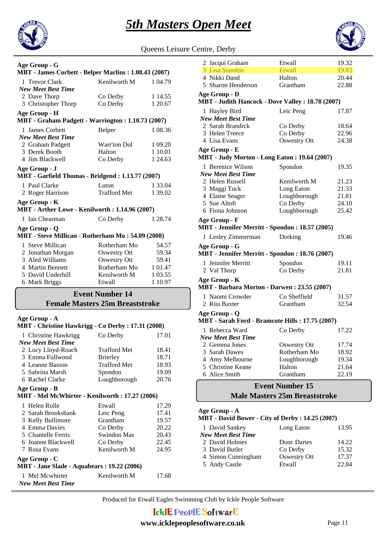

Queens Leisure Centre, Derby

| Age Group - G                                        |                     |         |  |
|------------------------------------------------------|---------------------|---------|--|
| MBT - James Corbett - Belper Marlins: 1.08.43 (2007) |                     |         |  |
| 1 Trevor Clark                                       | Kenilworth M        | 1 04.79 |  |
| <b>New Meet Best Time</b>                            |                     |         |  |
| 2 Dave Thorp                                         | Co Derby            | 1 14.55 |  |
| 3 Christopher Thorp                                  | Co Derby            | 1 20.67 |  |
| Age Group - H                                        |                     |         |  |
| MBT - Graham Padgett - Warrington: 1.10.73 (2007)    |                     |         |  |
| 1 James Corbett                                      | Belper              | 1 08.36 |  |
| <b>New Meet Best Time</b>                            |                     |         |  |
| 2 Graham Padgett                                     | Warr'ton Dol        | 1 09.20 |  |
| 3 Derek Booth                                        | Halton              | 1 10.01 |  |
| 4 Jim Blackwell                                      | Co Derby            | 1 24.63 |  |
| Age Group - J                                        |                     |         |  |
| MBT - Garfield Thomas - Bridgend: 1.13.77 (2007)     |                     |         |  |
| 1 Paul Clarke                                        | Luton               | 1 33.04 |  |
| 2 Roger Harrison                                     | Trafford Met        | 1 39.02 |  |
| Age Group - K                                        |                     |         |  |
| MBT - Arther Lowe - Kenilworth: 1.14.96 (2007)       |                     |         |  |
| 1 Ian Chearman                                       | Co Derby            | 1 28.74 |  |
| Age Group - Q                                        |                     |         |  |
| MBT - Steve Millican - Rotherham Mo: 54.09 (2008)    |                     |         |  |
| 1 Steve Millican                                     | Rotherham Mo        | 54.57   |  |
| 2 Jonathan Morgan                                    | <b>Oswestry Ott</b> | 59.34   |  |
| 3 Aled Williams                                      | <b>Oswestry Ott</b> | 59.41   |  |
| 4 Martin Bennett                                     | Rotherham Mo        | 1 01.47 |  |
| 5 David Underhill                                    | Kenilworth M        | 1 03.55 |  |
| 6 Mark Briggs                                        | Etwall              | 1 10.97 |  |
| <b>Event Number 14</b>                               |                     |         |  |
| <b>Female Masters 25m Breaststroke</b>               |                     |         |  |
|                                                      |                     |         |  |

### **Age Group - A**

| MBT - Christine Hawkrigg - Co Derby : 17.31 (2008)              |                     |       |  |
|-----------------------------------------------------------------|---------------------|-------|--|
| 1 Christine Hawkrigg                                            | Co Derby            | 17.01 |  |
| <b>New Meet Best Time</b>                                       |                     |       |  |
| 2 Lucy Lloyd-Roach                                              | <b>Trafford Met</b> | 18.41 |  |
| 3 Emma Fullwood                                                 | <b>Brierley</b>     | 18.71 |  |
| 4 Leanne Basson                                                 | <b>Trafford Met</b> | 18.93 |  |
| 5 Sabrina Marsh                                                 | Spondon             | 19.09 |  |
| 6 Rachel Clarke                                                 | Loughborough        | 20.76 |  |
| Age Group - B<br>MBT - Mel McWhirter - Kenilworth: 17.27 (2006) |                     |       |  |
| 1 Helen Rolle                                                   | Etwall              | 17.29 |  |
| 2 Sarah Brooksbank                                              | Leic Peng           | 17.41 |  |
| 3 Kelly Bullimore                                               | Grantham            | 19.57 |  |
| 4 Emma Davies                                                   | Co Derby            | 20.22 |  |
| 5 Chantelle Ferris                                              | Swindon Mas         | 20.43 |  |
| 6 Joanne Blackwell                                              | Co Derby            | 22.45 |  |
| 7 Rosa Evans                                                    | Kenilworth M        | 24.95 |  |
| Age Group - C<br>MBT - Jane Slade - Aquabears : 19.22 (2006)    |                     |       |  |
| 1 Mel Mcwhirter                                                 | Kenilworth M        | 17.68 |  |

*New Meet Best Time*

| 2 Jacqui Graham                                   | Etwall                 | 19.32 |  |
|---------------------------------------------------|------------------------|-------|--|
| 3 Lisa Stansbie                                   | <b>Etwall</b>          | 19.83 |  |
| 4 Nikki Dand                                      | Halton                 | 20.44 |  |
| 5 Sharon Henderson                                | Grantham               | 22.88 |  |
| Age Group - D                                     |                        |       |  |
| MBT - Judith Hancock - Dove Valley : 18.78 (2007) |                        |       |  |
| 1 Hayley Bird                                     | Leic Peng              | 17.87 |  |
| <b>New Meet Best Time</b>                         |                        |       |  |
| 2 Sarah Brandrck                                  | Co Derby               | 18.64 |  |
| 3 Helen Treece                                    | Co Derby               | 22.96 |  |
| 4 Lisa Evans                                      | <b>Oswestry Ott</b>    | 24.38 |  |
| Age Group - E                                     |                        |       |  |
| MBT - Judy Morton - Long Eaton: 19.64 (2007)      |                        |       |  |
| 1 Berenice Wilson                                 | Spondon                | 19.35 |  |
| <b>New Meet Best Time</b>                         |                        |       |  |
| 2 Helen Russell                                   | Kenilworth M           | 21.23 |  |
| 3 Maggi Tuck                                      | Long Eaton             | 21.33 |  |
| 4 Elaine Seager                                   | Loughborough           | 21.81 |  |
| 5 Sue Altoft                                      | Co Derby               | 24.10 |  |
| 6 Fiona Johnson                                   | Loughborough           | 25.42 |  |
| Age Group - F                                     |                        |       |  |
| MBT - Jennifer Merritt - Spondon : 18.57 (2005)   |                        |       |  |
| 1 Lesley Zimmerman                                | Dorking                | 19.46 |  |
| Age Group - G                                     |                        |       |  |
| MBT - Jennifer Merritt - Spondon : 18.76 (2007)   |                        |       |  |
| 1 Jennifer Merritt                                | Spondon                | 19.11 |  |
| 2 Val Thorp                                       | Co Derby               | 21.81 |  |
| Age Group - K                                     |                        |       |  |
| MBT - Barbara Morton - Darwen: 23.55 (2007)       |                        |       |  |
| 1 Naomi Crowder                                   | Co Sheffield           | 31.57 |  |
| 2 Rita Baxter                                     | Grantham               | 32.54 |  |
| Age Group - Q                                     |                        |       |  |
| MBT - Sarah Ford - Bramcote Hills: 17.75 (2007)   |                        |       |  |
| 1 Rebecca Ward                                    | Co Derby               | 17.22 |  |
| <b>New Meet Best Time</b>                         |                        |       |  |
| 2 Gemma Jones                                     | <b>Oswestry Ott</b>    | 17.74 |  |
| 3 Sarah Dawes                                     | Rotherham Mo           | 18.92 |  |
| 4 Amy Melbourne                                   | Loughborough           | 19.34 |  |
| 5 Christine Keane                                 | Halton                 | 21.64 |  |
| 6 Alice Smith                                     | Grantham               | 22.19 |  |
|                                                   | <b>Event Number 15</b> |       |  |

# **Male Masters 25m Breaststroke**

#### **MBT - David Bower - City of Derby : 14.25 (2007) Age Group - A**

|                    | $\mathbf{u}$ $\mathbf{v}$ $\mathbf{u}$ $\mathbf{v}$ $\mathbf{u}$ $\mathbf{v}$ $\mathbf{v}$ $\mathbf{v}$ $\mathbf{v}$ $\mathbf{v}$ $\mathbf{v}$ $\mathbf{v}$ $\mathbf{v}$ $\mathbf{v}$ $\mathbf{v}$ $\mathbf{v}$ $\mathbf{v}$ $\mathbf{v}$ $\mathbf{v}$ $\mathbf{v}$ $\mathbf{v}$ $\mathbf{v}$ $\mathbf{v}$ $\mathbf{v}$ $\mathbf{$ |       |
|--------------------|------------------------------------------------------------------------------------------------------------------------------------------------------------------------------------------------------------------------------------------------------------------------------------------------------------------------------------|-------|
| 1 David Sankey     | Long Eaton                                                                                                                                                                                                                                                                                                                         | 13.95 |
| New Meet Best Time |                                                                                                                                                                                                                                                                                                                                    |       |
| 2 David Holmes     | Donc Dartes                                                                                                                                                                                                                                                                                                                        | 14.22 |
| 3 David Butler     | Co Derby                                                                                                                                                                                                                                                                                                                           | 15.32 |
| 4 Simon Cunningham | Oswestry Ott                                                                                                                                                                                                                                                                                                                       | 17.37 |
| 5 Andy Castle      | Etwall                                                                                                                                                                                                                                                                                                                             | 22.84 |
|                    |                                                                                                                                                                                                                                                                                                                                    |       |

Produced for Etwall Eagles Swimming Club by Ickle People Software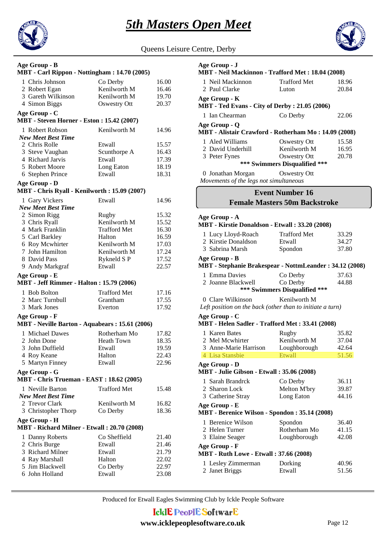



Queens Leisure Centre, Derby

#### **MBT - Carl Rippon - Nottingham : 14.70 (2005) Age Group - B**

| <b>NID I - Carl Kippon - Notungham : 14.</b> 70 (2005) |              |       |  |
|--------------------------------------------------------|--------------|-------|--|
| 1 Chris Johnson                                        | Co Derby     | 16.00 |  |
| 2 Robert Egan                                          | Kenilworth M | 16.46 |  |

#### 3 Gareth Wilkinson Kenilworth M 19.70 4 Simon Biggs **Oswestry Ott** 20.37 **Age Group - C**

#### **MBT - Steven Horner - Eston : 15.42 (2007)**

| 1 Robert Robson           | Kenilworth M | 14.96 |
|---------------------------|--------------|-------|
| <b>New Meet Best Time</b> |              |       |
| 2 Chris Rolle             | Etwall       | 15.57 |
| 3 Steve Vaughan           | Scunthorpe A | 16.43 |
| 4 Richard Jarvis          | Etwall       | 17.39 |
| 5 Robert Moore            | Long Eaton   | 18.19 |
| 6 Stephen Prince          | Etwall       | 18.31 |

#### **Age Group - D**

#### **MBT - Chris Ryall - Kenilworth : 15.09 (2007)**

| 1 Gary Vickers                                  | Etwall              | 14.96 |
|-------------------------------------------------|---------------------|-------|
| <b>New Meet Best Time</b>                       |                     |       |
| 2 Simon Rigg                                    | Rugby               | 15.32 |
| 3 Chris Ryall                                   | Kenilworth M        | 15.52 |
| 4 Mark Franklin                                 | <b>Trafford Met</b> | 16.30 |
| 5 Carl Barkley                                  | Halton              | 16.59 |
| 6 Roy Mcwhirter                                 | Kenilworth M        | 17.03 |
| 7 John Hamilton                                 | Kenilworth M        | 17.24 |
| 8 David Pass                                    | Rykneld SP          | 17.52 |
| 9 Andy Markgraf                                 | Etwall              | 22.57 |
| Age Group - E                                   |                     |       |
| <b>MBT</b> - Jeff Rimmer - Halton: 15.79 (2006) |                     |       |
| 1 Bob Bolton                                    | <b>Trafford Met</b> | 17.16 |
| 2 Marc Turnbull                                 | Grantham            | 17.55 |
| 3 Mark Jones                                    | Everton             | 17.92 |
| Age Group - F                                   |                     |       |
| MBT - Neville Barton - Aquabears: 15.61 (2006)  |                     |       |
| 1 Michael Dawes                                 | Rotherham Mo        | 17.82 |
| 2 John Done                                     | <b>Heath Town</b>   | 18.35 |
| 3 John Duffield                                 | Etwall              | 19.59 |
| 4 Roy Keane                                     | Halton              | 22.43 |
| 5 Martyn Finney                                 | Etwall              | 22.96 |
| Age Group - G                                   |                     |       |
| <b>MBT</b> - Chris Trueman - EAST: 18.62 (2005) |                     |       |
| 1 Neville Barton                                | <b>Trafford Met</b> | 15.48 |
| <b>New Meet Best Time</b>                       |                     |       |
| 2 Trevor Clark                                  | Kenilworth M        | 16.82 |
| 3 Christopher Thorp                             | Co Derby            | 18.36 |
|                                                 |                     |       |
| Age Group - H                                   |                     |       |
| MBT - Richard Milner - Etwall: 20.70 (2008)     |                     |       |
| 1 Danny Roberts                                 | Co Sheffield        | 21.40 |
| 2 Chris Burge                                   | Etwall              | 21.46 |
| 3 Richard Milner                                | Etwall              | 21.79 |
| 4 Ray Marshall                                  | Halton              | 22.02 |
| 5 Jim Blackwell                                 | Co Derby            | 22.97 |
| 6 John Holland                                  | Etwall              | 23.08 |

#### 1 Neil Mackinnon Trafford Met 18.96 **MBT - Neil Mackinnon - Trafford Met : 18.04 (2008) Age Group - J** 2 Paul Clarke Luton 20.84 1 Ian Chearman Co Derby 22.06 **MBT - Ted Evans - City of Derby : 21.05 (2006) Age Group - K** 1 Aled Williams Oswestry Ott 15.58 **MBT - Alistair Crawford - Rotherham Mo : 14.09 (2008) Age Group - Q** 2 David Underhill Kenilworth M 16.95 3 Peter Fynes Oswestry Ott 20.78 *Movements of the legs not simultaneous* 40 Jonathan Morgan Oswestry Ott **\*\*\* Swimmers Disqualified \*\*\***

# **Event Number 16**

# **Female Masters 50m Backstroke**

#### **MBT - Kirstie Donaldson - Etwall : 33.20 (2008) Age Group - A**

| <u> MD I - Kirsue Donaldson - Etwan : 33.20 (2008)</u>    |                               |       |
|-----------------------------------------------------------|-------------------------------|-------|
| 1 Lucy Lloyd-Roach                                        | <b>Trafford Met</b>           | 33.29 |
| 2 Kirstie Donaldson                                       | Etwall                        | 34.27 |
| 3 Sabrina Marsh                                           | Spondon                       | 37.80 |
| Age Group - B                                             |                               |       |
| MBT - Stephanie Brakespear - NottmLeander: 34.12 (2008)   |                               |       |
| 1 Emma Davies                                             | Co Derby                      | 37.63 |
| 2 Joanne Blackwell                                        | Co Derby                      | 44.88 |
|                                                           | *** Swimmers Disqualified *** |       |
| 0 Clare Wilkinson                                         | Kenilworth M                  |       |
| Left position on the back (other than to initiate a turn) |                               |       |
| Age Group - C                                             |                               |       |
| MBT - Helen Sadler - Trafford Met: 33.41 (2008)           |                               |       |
| 1 Karen Bates                                             | Rugby                         | 35.82 |
| 2 Mel Mcwhirter                                           | Kenilworth M                  | 37.04 |
| 3 Anne-Marie Harrison                                     | Loughborough                  | 42.64 |
| 4 Lisa Stansbie                                           | Etwall                        | 51.56 |
| Age Group - D                                             |                               |       |
| <b>MBT</b> - Julie Gibson - Etwall: 35.06 (2008)          |                               |       |
| 1 Sarah Brandrck                                          | Co Derby                      | 36.11 |
| 2 Sharon Lock                                             | Melton M'bry                  | 39.87 |
| 3 Catherine Stray                                         | Long Eaton                    | 44.16 |
| Age Group - E                                             |                               |       |
| MBT - Berenice Wilson - Spondon: 35.14 (2008)             |                               |       |
| 1 Berenice Wilson                                         | Spondon                       | 36.40 |
| 2 Helen Turner                                            | Rotherham Mo                  | 41.15 |
| 3 Elaine Seager                                           | Loughborough                  | 42.08 |
| Age Group - F                                             |                               |       |
| <b>MBT</b> - Ruth Lowe - Etwall: 37.66 (2008)             |                               |       |
| 1 Lesley Zimmerman                                        | Dorking                       | 40.96 |
| 2 Janet Briggs                                            | Etwall                        | 51.56 |
|                                                           |                               |       |

Produced for Etwall Eagles Swimming Club by Ickle People Software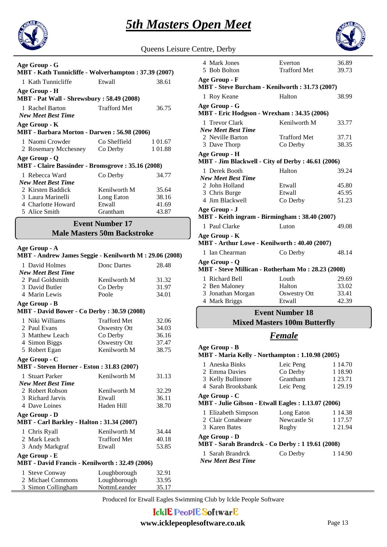



Queens Leisure Centre, Derby

| Age Group - G<br>MBT - Kath Tunnicliffe - Wolverhampton : 37.39 (2007)     |                     |         |  |
|----------------------------------------------------------------------------|---------------------|---------|--|
| 1 Kath Tunnicliffe                                                         | Etwall              | 38.61   |  |
| Age Group - H<br><b>MBT</b> - Pat Wall - Shrewsbury : 58.49 (2008)         |                     |         |  |
| 1 Rachel Barton<br><b>New Meet Best Time</b>                               | <b>Trafford Met</b> | 36.75   |  |
| Age Group - K<br>MBT - Barbara Morton - Darwen: 56.98 (2006)               |                     |         |  |
| 1 Naomi Crowder                                                            | Co Sheffield        | 1 01.67 |  |
| 2 Rosemary Mcchesney                                                       | Co Derby            | 1 01.88 |  |
| Age Group - Q<br><b>MBT</b> - Claire Bassinder - Bromsgrove : 35.16 (2008) |                     |         |  |
| 1 Rebecca Ward<br><b>New Meet Best Time</b>                                | Co Derby            | 34.77   |  |
| 2 Kirsten Baddick                                                          | Kenilworth M        | 35.64   |  |
| 3 Laura Marinelli                                                          | Long Eaton          | 38.16   |  |
| 4 Charlotte Howard                                                         | Etwall              | 41.69   |  |
| 5 Alice Smith                                                              | Grantham            | 43.87   |  |
|                                                                            |                     |         |  |

### **Event Number 17**

#### **Male Masters 50m Backstroke**

#### **Age Group - A**

# **MBT - Andrew James Seggie - Kenilworth M : 29.06 (2008)**

| 1 David Holmes                                    | Donc Dartes         | 28.48 |
|---------------------------------------------------|---------------------|-------|
| <b>New Meet Best Time</b>                         |                     |       |
| 2 Paul Goldsmith                                  | Kenilworth M        | 31.32 |
| 3 David Butler                                    | Co Derby            | 31.97 |
| 4 Marin Lewis                                     | Poole               | 34.01 |
| Age Group - B                                     |                     |       |
| <b>MBT</b> - David Bower - Co Derby: 30.59 (2008) |                     |       |
| 1 Niki Williams                                   | <b>Trafford Met</b> | 32.06 |
| 2 Paul Evans                                      | Oswestry Ott        | 34.03 |
| 3 Matthew Leach                                   | Co Derby            | 36.16 |
| 4 Simon Biggs                                     | Oswestry Ott        | 37.47 |
| 5 Robert Egan                                     | Kenilworth M        | 38.75 |
| Age Group - C                                     |                     |       |
| <b>MBT</b> - Steven Horner - Eston: 31.83 (2007)  |                     |       |
| 1 Stuart Parker                                   | Kenilworth M        | 31.13 |
| <b>New Meet Best Time</b>                         |                     |       |
| 2 Robert Robson                                   | Kenilworth M        | 32.29 |
| 3 Richard Jarvis                                  | Etwall              | 36.11 |
| 4 Dave Loines                                     | Haden Hill          | 38.70 |
| Age Group - D                                     |                     |       |
| <b>MBT</b> - Carl Barkley - Halton : 31.34 (2007) |                     |       |
| 1 Chris Ryall                                     | Kenilworth M        | 34.44 |
| 2 Mark Leach                                      | <b>Trafford Met</b> | 40.18 |
| 3 Andy Markgraf                                   | Etwall              | 53.85 |
| Age Group - E                                     |                     |       |
| MBT - David Francis - Kenilworth: 32.49 (2006)    |                     |       |
| 1 Steve Conway                                    | Loughborough        | 32.91 |
| 2 Michael Commons                                 | Loughborough        | 33.95 |
| 3 Simon Collingham                                | NottmLeander        | 35.17 |

| 4 Mark Jones<br>5 Bob Bolton                                    | Everton             | 36.89 |  |
|-----------------------------------------------------------------|---------------------|-------|--|
|                                                                 | <b>Trafford Met</b> | 39.73 |  |
| Age Group - F<br>MBT - Steve Burcham - Kenilworth: 31.73 (2007) |                     |       |  |
| 1 Roy Keane                                                     | Halton              | 38.99 |  |
| Age Group - G                                                   |                     |       |  |
| MBT - Eric Hodgson - Wrexham: 34.35 (2006)                      |                     |       |  |
| 1 Trevor Clark                                                  | Kenilworth M        | 33.77 |  |
| <b>New Meet Best Time</b>                                       |                     |       |  |
| 2 Neville Barton                                                | Trafford Met        | 37.71 |  |
| 3 Dave Thorp                                                    | Co Derby            | 38.35 |  |
| Age Group - H                                                   |                     |       |  |
| MBT - Jim Blackwell - City of Derby: 46.61 (2006)               |                     |       |  |
| 1 Derek Booth<br><b>New Meet Best Time</b>                      | Halton              | 39.24 |  |
| 2 John Holland                                                  | Etwall              | 45.80 |  |
| 3 Chris Burge                                                   | Etwall              | 45.95 |  |
| 4 Jim Blackwell                                                 | Co Derby            | 51.23 |  |
| Age Group - J                                                   |                     |       |  |
| MBT - Keith ingram - Birmingham: 38.40 (2007)                   |                     |       |  |
| 1 Paul Clarke                                                   | Luton               | 49.08 |  |
| Age Group - K                                                   |                     |       |  |
| MBT - Arthur Lowe - Kenilworth: 40.40 (2007)                    |                     |       |  |
| 1 Ian Chearman                                                  | Co Derby            | 48.14 |  |
| Age Group - Q                                                   |                     |       |  |
| MBT - Steve Millican - Rotherham Mo: 28.23 (2008)               |                     |       |  |
| 1 Richard Bell                                                  | Louth               | 29.69 |  |
| 2 Ben Maloney                                                   | Halton              | 33.02 |  |
| 3 Jonathan Morgan                                               | <b>Oswestry Ott</b> | 33.41 |  |
| 4 Mark Briggs                                                   | Etwall              | 42.39 |  |
| <b>Event Number 18</b>                                          |                     |       |  |

# **Mixed Masters 100m Butterfly**

# *Female*

| Age Group - B<br>MBT - Maria Kelly - Northampton : 1.10.98 (2005)    |              |         |
|----------------------------------------------------------------------|--------------|---------|
| 1 Aneska Binks                                                       | Leic Peng    | 1 14.70 |
| 2 Emma Davies                                                        | Co Derby     | 1 18.90 |
| 3 Kelly Bullimore                                                    | Grantham     | 1 23.71 |
| 4 Sarah Brooksbank                                                   | Leic Peng    | 1 29.19 |
| Age Group - C<br>MBT - Julie Gibson - Etwall Eagles : 1.13.07 (2006) |              |         |
| 1 Elizabeth Simpson                                                  | Long Eaton   | 1 14.38 |
| 2 Clair Conabeare                                                    | Newcastle St | 1 17.57 |
| 3 Karen Bates                                                        | Rugby        | 1 21.94 |
| Age Group - D<br>MBT - Sarah Brandrck - Co Derby : 1 19.61 (2008)    |              |         |
| 1 Sarah Brandrck<br><b>New Meet Best Time</b>                        | Co Derby     | 1 14.90 |

Produced for Etwall Eagles Swimming Club by Ickle People Software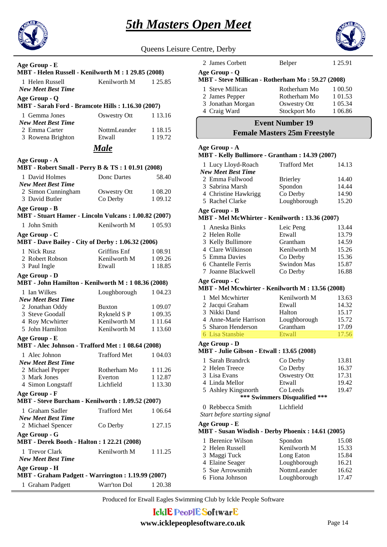

|                                                                    |                        |                    | <u> Sin Masters Open M</u>                       |
|--------------------------------------------------------------------|------------------------|--------------------|--------------------------------------------------|
|                                                                    |                        |                    |                                                  |
|                                                                    |                        |                    | Queens Leisure Centre, Derby                     |
| Age Group - E                                                      |                        |                    | 2 James Cor                                      |
| MBT - Helen Russell - Kenilworth M : 1 29.85 (2008)                |                        |                    | Age Group - 0                                    |
| 1 Helen Russell                                                    | Kenilworth M           | 1 25.85            | <b>MBT</b> - Steve I                             |
| <b>New Meet Best Time</b>                                          |                        |                    | 1 Steve Mill                                     |
| Age Group - Q                                                      |                        |                    | 2 James Pep                                      |
| MBT - Sarah Ford - Bramcote Hills : 1.16.30 (2007)                 |                        |                    | 3 Jonathan N<br>4 Craig War                      |
| 1 Gemma Jones<br><b>New Meet Best Time</b>                         | Oswestry Ott           | 1 13.16            |                                                  |
| 2 Emma Carter<br>3 Rowena Brighton                                 | NottmLeander<br>Etwall | 1 18.15<br>1 19.72 | F                                                |
|                                                                    | <b>Male</b>            |                    | Age Group - A                                    |
| Age Group - A                                                      |                        |                    | <b>MBT</b> - Kelly I                             |
| MBT - Robert Small - Perry B & TS: 101.91 (2008)                   |                        |                    | 1 Lucy Lloy                                      |
| 1 David Holmes                                                     | Donc Dartes            | 58.40              | New Meet Be.                                     |
| <b>New Meet Best Time</b>                                          |                        |                    | 2 Emma Ful<br>3 Sabrina M                        |
| 2 Simon Cunningham                                                 | Oswestry Ott           | 1 08.20            | 4 Christine I                                    |
| 3 David Butler                                                     | Co Derby               | 1 09.12            | 5 Rachel Cla                                     |
| Age Group - B                                                      |                        |                    | Age Group - I                                    |
| MBT - Stuart Hamer - Lincoln Vulcans: 1.00.82 (2007)               |                        |                    | <b>MBT</b> - Mel M                               |
| 1 John Smith                                                       | Kenilworth M           | 1 05.93            | 1 Aneska Bi                                      |
| Age Group - C                                                      |                        |                    | 2 Helen Rol                                      |
| <b>MBT</b> - Dave Bailey - City of Derby: 1.06.32 (2006)           |                        |                    | 3 Kelly Bull                                     |
| 1 Nick Rusz                                                        | Griffins Enf           | 1 08.91            | 4 Clare Will                                     |
| 2 Robert Robson                                                    | Kenilworth M           | 1 09.26            | 5 Emma Da                                        |
| 3 Paul Ingle                                                       | Etwall                 | 1 18.85            | 6 Chantelle                                      |
| Age Group - D                                                      |                        |                    | 7 Joanne Bla                                     |
| MBT - John Hamilton - Kenilworth M : 1 08.36 (2008)                |                        |                    | Age Group - 0                                    |
| 1 Ian Wilkes                                                       | Loughborough           | 1 04.23            | <b>MBT</b> - Mel M                               |
| <b>New Meet Best Time</b>                                          |                        |                    | 1 Mel Mcwl                                       |
| 2 Jonathan Oddy                                                    | <b>Buxton</b>          | 1 09.07            | 2 Jacqui Gra                                     |
| 3 Steve Goodall                                                    | Rykneld S P            | 1 09.35            | 3 Nikki Dan                                      |
| 4 Roy Mcwhirter                                                    | Kenilworth M           | 1 1 1 .64          | 4 Anne-Mar                                       |
| 5 John Hamilton                                                    | Kenilworth M           | 1 13.60            | 5 Sharon He<br>6 Lisa Stans                      |
| Age Group - E                                                      |                        |                    | Age Group - I                                    |
| MBT - Alec Johnson - Trafford Met: 1 08.64 (2008)                  |                        |                    | <b>MBT</b> - Julie (                             |
| 1 Alec Johnon                                                      | <b>Trafford Met</b>    | 1 04.03            | 1 Sarah Brai                                     |
| <b>New Meet Best Time</b>                                          |                        |                    | 2 Helen Tree                                     |
| 2 Michael Pepper<br>3 Mark Jones                                   | Rotherham Mo           | 1 1 1 .26          | 3 Lisa Evan:                                     |
| 4 Simon Longstaff                                                  | Everton<br>Lichfield   | 1 12.87<br>1 13.30 | 4 Linda Mel                                      |
|                                                                    |                        |                    | 5 Ashley Ki                                      |
| Age Group - F<br>MBT - Steve Burcham - Kenilworth : 1.09.52 (2007) |                        |                    |                                                  |
|                                                                    |                        |                    | 0 Rebbecca                                       |
| 1 Graham Sadler<br><b>New Meet Best Time</b>                       | <b>Trafford Met</b>    | 1 06.64            | Start before si                                  |
| 2 Michael Spencer<br>Age Group - G                                 | Co Derby               | 1 27.15            | Age Group - I<br><b>MBT</b> - Susan              |
| <b>MBT</b> - Derek Booth - Halton : 1 22.21 (2008)                 |                        |                    | 1 Berenice V                                     |
| 1 Trevor Clark                                                     | Kenilworth M           | 1 1 1 . 2 5        | 2 Helen Rus                                      |
| <b>New Meet Best Time</b>                                          |                        |                    | 3 Maggi Tuo                                      |
| Age Group - H                                                      |                        |                    | 4 Elaine Sea                                     |
| MBT - Graham Padgett - Warrington : 1.19.99 (2007)                 |                        |                    | 5 Sue Arrow                                      |
|                                                                    | Warr'ton Dol           | 1 20.38            | 6 Fiona John                                     |
| 1 Graham Padgett                                                   |                        |                    |                                                  |
|                                                                    |                        |                    | Produced for Etwall Eagles Swimming Club by Ickl |
|                                                                    |                        |                    |                                                  |
|                                                                    |                        |                    | <b>IcklE PeoplE Softwart</b>                     |
|                                                                    |                        |                    | www.icklepeoplesoftware.co.                      |
|                                                                    |                        |                    |                                                  |

| Age Group - Q<br>MBT - Steve Millican - Rotherham Mo: 59.27 (2008) |                     |         |  |
|--------------------------------------------------------------------|---------------------|---------|--|
| 1 Steve Millican                                                   | Rotherham Mo        | 1 00.50 |  |
| 2 James Pepper                                                     | Rotherham Mo        | 1 01.53 |  |
| 3 Jonathan Morgan                                                  | Oswestry Ott        | 1 05.34 |  |
| 4 Craig Ward                                                       | Stockport Mo        | 1 06.86 |  |
| <b>Event Number 19</b><br><b>Female Masters 25m Freestyle</b>      |                     |         |  |
|                                                                    |                     |         |  |
| Age Group - A<br>MBT - Kelly Bullimore - Grantham : 14.39 (2007)   |                     |         |  |
| 1 Lucy Lloyd-Roach<br><b>New Meet Best Time</b>                    | <b>Trafford Met</b> | 14.13   |  |

2 James Corbett Belper 1 25.91

### 3 Sabrina Marsh Spondon 14.44 4 Christine Hawkrigg Co Derby 14.90 5 Rachel Clarke Loughborough 15.20 **MBT - Mel McWhirter - Kenilworth : 13.36 (2007) Age Group - B**

#### 1 Aneska Binks Leic Peng 13.44 2 Helen Rolle Etwall 13.79 3 Kelly Bullimore Grantham 14.59 4 Clare Wilkinson Kenilworth M 15.26 5 Emma Davies Co Derby 15.36 6 Chantelle Ferris Swindon Mas 15.87 7 Joanne Blackwell Co Derby 16.88

**Age Group - C**

# **MBT - Mel Mcwhirter - Kenilworth M : 13.56 (2008)**

| 1 Mel Mcwhirter       | Kenilworth M | 13.63 |
|-----------------------|--------------|-------|
| 2 Jacqui Graham       | Etwall       | 14.32 |
| 3 Nikki Dand          | Halton       | 15.17 |
| 4 Anne-Marie Harrison | Loughborough | 15.72 |
| 5 Sharon Henderson    | Grantham     | 17.09 |
| 6 Lisa Stansbie       | Etwall       | 17.56 |

**Age Group - D**

#### **MBT - Julie Gibson - Etwall : 13.65 (2008)**

| 1 Sarah Brandrck              | Co Derby     | 13.81 |
|-------------------------------|--------------|-------|
| 2 Helen Treece                | Co Derby     | 16.37 |
| 3 Lisa Evans                  | Oswestry Ott | 17.31 |
| 4 Linda Mellor                | Etwall       | 19.42 |
| 5 Ashley Kingsnorth           | Co Leeds     | 19.47 |
| *** Swimmers Disqualified *** |              |       |

### 60 Rebbecca Smith Lichfield

*Start before starting signal*

**Age Group - E**

#### **MBT - Susan Wisdish - Derby Phoenix : 14.61 (2005)**

| 1 Berenice Wilson | Spondon      | 15.08 |
|-------------------|--------------|-------|
| 2 Helen Russell   | Kenilworth M | 15.33 |
| 3 Maggi Tuck      | Long Eaton   | 15.84 |
| 4 Elaine Seager   | Loughborough | 16.21 |
| 5 Sue Arrowsmith  | NottmLeander | 16.62 |
| 6 Fiona Johnson   | Loughborough | 17.47 |

ming Club by Ickle People Software

# **IE** SoftwarE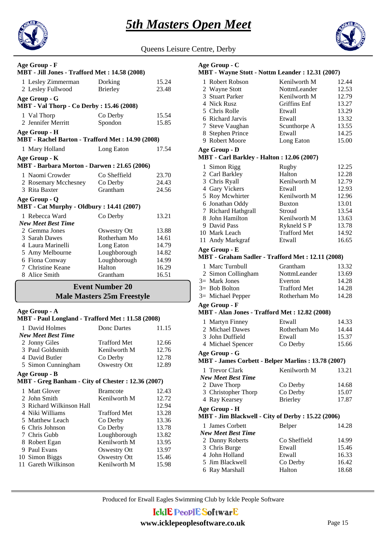



Queens Leisure Centre, Derby

| Age Group - F<br>MBT - Jill Jones - Trafford Met: 14.58 (2008)    |                 |       |  |
|-------------------------------------------------------------------|-----------------|-------|--|
| 1 Lesley Zimmerman                                                | Dorking         | 15.24 |  |
| 2 Lesley Fullwood                                                 | <b>Brierley</b> | 23.48 |  |
| Age Group - G<br><b>MBT</b> - Val Thorp - Co Derby : 15.46 (2008) |                 |       |  |
| 1 Val Thorp                                                       | Co Derby        | 15.54 |  |
| 2 Jennifer Merritt                                                | Spondon         | 15.85 |  |
| Age Group - H                                                     |                 |       |  |
| MBT - Rachel Barton - Trafford Met: 14.90 (2008)                  |                 |       |  |
| 1 Mary Holland                                                    | Long Eaton      | 17.54 |  |
| Age Group - K<br>MBT - Barbara Morton - Darwen: 21.65 (2006)      |                 |       |  |
| 1 Naomi Crowder                                                   | Co Sheffield    | 23.70 |  |
| 2 Rosemary Mcchesney                                              | Co Derby        | 24.43 |  |
| 3 Rita Baxter                                                     | Grantham        | 24.56 |  |
| Age Group - Q<br><b>MBT</b> - Cat Murphy - Oldbury: 14.41 (2007)  |                 |       |  |
| 1 Rebecca Ward                                                    | Co Derby        | 13.21 |  |
| <b>New Meet Best Time</b>                                         |                 |       |  |
| 2 Gemma Jones                                                     | Oswestry Ott    | 13.88 |  |
| 3 Sarah Dawes                                                     | Rotherham Mo    | 14.61 |  |
| 4 Laura Marinelli                                                 | Long Eaton      | 14.79 |  |
| 5 Amy Melbourne                                                   | Loughborough    | 14.82 |  |
| 6 Fiona Conway                                                    | Loughborough    | 14.99 |  |
| 7 Christine Keane                                                 | Halton          | 16.29 |  |
| 8 Alice Smith                                                     | Grantham        | 16.51 |  |
| <b>Event Number 20</b><br><b>Male Masters 25m Freestyle</b>       |                 |       |  |

#### **Age Group - A**

| MBT - Paul Longland - Trafford Met : 11.58 (2008)  |                     |       |  |
|----------------------------------------------------|---------------------|-------|--|
| 1 David Holmes                                     | Donc Dartes         | 11.15 |  |
| <b>New Meet Best Time</b>                          |                     |       |  |
| 2 Jonny Giles                                      | <b>Trafford Met</b> | 12.66 |  |
| 3 Paul Goldsmith                                   | Kenilworth M        | 12.76 |  |
| 4 David Butler                                     | Co Derby            | 12.78 |  |
| 5 Simon Cunningham                                 | <b>Oswestry Ott</b> | 12.89 |  |
| Age Group - B                                      |                     |       |  |
| MBT - Greg Banham - City of Chester : 12.36 (2007) |                     |       |  |
| 1 Matt Glover                                      | <b>Bramcote</b>     | 12.43 |  |
| 2 John Smith                                       | Kenilworth M        | 12.72 |  |
| 3 Richard Wilkinson Hall                           |                     | 12.94 |  |
| 4 Niki Williams                                    | <b>Trafford Met</b> | 13.28 |  |
| 5 Matthew Leach                                    | Co Derby            | 13.36 |  |
| 6 Chris Johnson                                    | Co Derby            | 13.78 |  |
| 7 Chris Gubb                                       | Loughborough        | 13.82 |  |
| 8 Robert Egan                                      | Kenilworth M        | 13.95 |  |
| Paul Evans<br>9                                    | Oswestry Ott        | 13.97 |  |
| 10 Simon Biggs                                     | Oswestry Ott        | 15.46 |  |
| 11 Gareth Wilkinson                                | Kenilworth M        | 15.98 |  |
|                                                    |                     |       |  |

#### 1 Robert Robson Kenilworth M 12.44 **MBT - Wayne Stott - Nottm Leander : 12.31 (2007) Age Group - C** 2 Wayne Stott NottmLeander 12.53 3 Stuart Parker Kenilworth M 12.79 4 Nick Rusz Griffins Enf 13.27 5 Chris Rolle Etwall 13.29 6 Richard Jarvis Etwall 13.32 7 Steve Vaughan Scunthorpe A 13.55 8 Stephen Prince Etwall 14.25 9 Robert Moore Long Eaton 15.00 1 Simon Rigg Rugby 12.25 **MBT - Carl Barkley - Halton : 12.06 (2007) Age Group - D** 2 Carl Barkley Halton 12.28 3 Chris Ryall Kenilworth M 12.79 4 Gary Vickers Etwall 12.93 5 Roy Mcwhirter Kenilworth M 12.96 6 Jonathan Oddy Buxton 13.01 7 Richard Hathgrall Stroud 13.54 8 John Hamilton Kenilworth M 13.63 9 David Pass Rykneld S P 13.78 10 Mark Leach Trafford Met 14.92 11 Andy Markgraf Etwall 16.65 1 Marc Turnbull Grantham 13.32<br>2 Simon Collingham NottmLeander 13.69 **MBT - Graham Sadler - Trafford Met : 12.11 (2008) Age Group - E** 2 Simon Collingham 3= Mark Jones Everton 14.28 3= Bob Bolton Trafford Met 14.28 3= Michael Pepper Rotherham Mo 14.28 1 Martyn Finney Etwall 14.33 **MBT - Alan Jones - Trafford Met : 12.82 (2008) Age Group - F** 2 Michael Dawes Rotherham Mo 14.44 3 John Duffield Etwall 15.37 4 Michael Spencer Co Derby 15.66 1 Trevor Clark Kenilworth M 13.21 *New Meet Best Time* **MBT - James Corbett - Belper Marlins : 13.78 (2007) Age Group - G** 2 Dave Thorp Co Derby 14.68<br>3 Christopher Thorp Co Derby 15.07 3 Christopher Thorp Co Derby 15.07 4 Ray Kearsey Brierley 17.87 1 James Corbett Belper 14.28 *New Meet Best Time* **MBT - Jim Blackwell - City of Derby : 15.22 (2006) Age Group - H** 2 Danny Roberts Co Sheffield 14.99 3 Chris Burge Etwall 15.46 4 John Holland Etwall 16.33 5 Jim Blackwell Co Derby 16.42 6 Ray Marshall Halton 18.68

Produced for Etwall Eagles Swimming Club by Ickle People Software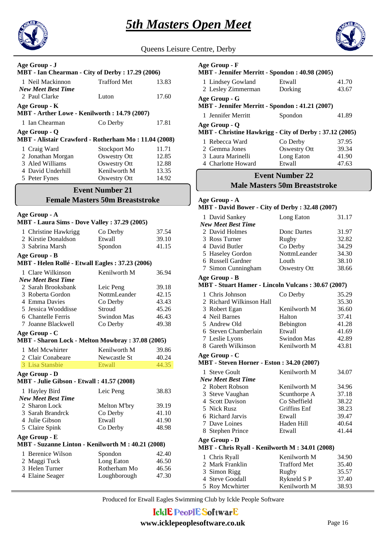



| Queens Leisure Centre, Derby |  |  |
|------------------------------|--|--|
|                              |  |  |

| Age Group - J<br>MBT - Ian Chearman - City of Derby : 17.29 (2006) |                     |       |
|--------------------------------------------------------------------|---------------------|-------|
| 1 Neil Mackinnon                                                   | <b>Trafford Met</b> | 13.83 |
| <b>New Meet Best Time</b>                                          |                     |       |
| 2 Paul Clarke                                                      | Luton               | 17.60 |
| Age Group - K                                                      |                     |       |
| MBT - Arther Lowe - Kenilworth : 14.79 (2007)                      |                     |       |
| 1 Ian Chearman                                                     | Co Derby            | 17.81 |
| Age Group - Q                                                      |                     |       |
| MBT - Alistair Crawford - Rotherham Mo: 11.04 (2008)               |                     |       |
| 1 Craig Ward                                                       | Stockport Mo        | 11.71 |
| 2 Jonathan Morgan                                                  | Oswestry Ott        | 12.85 |
| 3 Aled Williams                                                    | Oswestry Ott        | 12.88 |
| 4 David Underhill                                                  | Kenilworth M        | 13.35 |
| 5 Peter Fynes                                                      | Oswestry Ott        | 14.92 |

# **Event Number 21**

### **Female Masters 50m Breaststroke**

#### **Age Group - A**

| MBT - Laura Sims - Dove Valley: 37.29 (2005)      |                    |       |
|---------------------------------------------------|--------------------|-------|
| 1 Christine Hawkrigg                              | Co Derby           | 37.54 |
| 2 Kirstie Donaldson                               | Etwall             | 39.10 |
| 3 Sabrina Marsh                                   | Spondon            | 41.15 |
| Age Group - B                                     |                    |       |
| MBT - Helen Rollé - Etwall Eagles: 37.23 (2006)   |                    |       |
| 1 Clare Wilkinson                                 | Kenilworth M       | 36.94 |
| <b>New Meet Best Time</b>                         |                    |       |
| 2 Sarah Brooksbank                                | Leic Peng          | 39.18 |
| 3 Roberta Gordon                                  | NottmLeander       | 42.15 |
| 4 Emma Davies                                     | Co Derby           | 43.43 |
| 5 Jessica Wooddisse                               | Stroud             | 45.26 |
| 6 Chantelle Ferris                                | <b>Swindon Mas</b> | 46.43 |
| 7 Joanne Blackwell                                | Co Derby           | 49.38 |
| Age Group - C                                     |                    |       |
| MBT - Sharon Lock - Melton Mowbray: 37.08 (2005)  |                    |       |
| 1 Mel Mcwhirter                                   | Kenilworth M       | 39.86 |
| 2 Clair Conabeare                                 | Newcastle St       | 40.24 |
| 3 Lisa Stansbie                                   | Etwall             | 44.35 |
| Age Group - D                                     |                    |       |
| MBT - Julie Gibson - Etwall: 41.57 (2008)         |                    |       |
| 1 Hayley Bird                                     | Leic Peng          | 38.83 |
| <b>New Meet Best Time</b>                         |                    |       |
| 2 Sharon Lock                                     | Melton M'bry       | 39.19 |
| 3 Sarah Brandrck                                  | Co Derby           | 41.10 |
| 4 Julie Gibson                                    | Etwall             | 41.90 |
| 5 Claire Spink                                    | Co Derby           | 48.98 |
| Age Group - E                                     |                    |       |
| MBT - Suzanne Linton - Kenilworth M: 40.21 (2008) |                    |       |
| 1 Berenice Wilson                                 | Spondon            | 42.40 |
| 2 Maggi Tuck                                      | Long Eaton         | 46.50 |
| 3 Helen Turner                                    | Rotherham Mo       | 46.56 |
| 4 Elaine Seager                                   | Loughborough       | 47.30 |
|                                                   |                    |       |

| Age Group - F<br>MBT - Jennifer Merritt - Spondon : 40.98 (2005)         |              |       |
|--------------------------------------------------------------------------|--------------|-------|
| 1 Lindsey Gowland                                                        | Etwall       | 41.70 |
| 2 Lesley Zimmerman                                                       | Dorking      | 43.67 |
| Age Group - G<br>MBT - Jennifer Merritt - Spondon : 41.21 (2007)         |              |       |
| 1 Jennifer Merritt                                                       | Spondon      | 41.89 |
| Age Group - Q<br>MBT - Christine Hawkrigg - City of Derby : 37.12 (2005) |              |       |
| 1 Rebecca Ward                                                           | Co Derby     | 37.95 |
| 2 Gemma Jones                                                            | Oswestry Ott | 39.34 |
| 3 Laura Marinelli                                                        | Long Eaton   | 41.90 |
| 4 Charlotte Howard                                                       | Etwall       | 47.63 |

# **Male Masters 50m Breaststroke Event Number 22**

#### **MBT - David Bower - City of Derby : 32.48 (2007) Age Group - A**

| <b>NLD 1 - DAVIG DOWEL - CITY OF DELDY . 32.40 (2007)</b> |              |       |  |
|-----------------------------------------------------------|--------------|-------|--|
| 1 David Sankey                                            | Long Eaton   | 31.17 |  |
| <b>New Meet Best Time</b>                                 |              |       |  |
| 2 David Holmes                                            | Donc Dartes  | 31.97 |  |
| 3 Ross Turner                                             | Rugby        | 32.82 |  |
| 4 David Butler                                            | Co Derby     | 34.29 |  |
| 5 Haseley Gordon                                          | NottmLeander | 34.30 |  |
| 6 Russell Gardner                                         | Louth        | 38.10 |  |
| 7 Simon Cunningham                                        | Oswestry Ott | 38.66 |  |
| Age Group - B                                             |              |       |  |
| <b>MBT</b> - Stuart Hamer - Lincoln Vulcans: 30.67 (2007) |              |       |  |
| 1 Chris Johnson                                           | Co Derby     | 35.29 |  |
| 2 Richard Wilkinson Hall                                  |              | 35.30 |  |
| 3 Robert Egan                                             | Kenilworth M | 36.60 |  |
| 4 Neil Barnes                                             | Halton       | 37.41 |  |
| 5 Andrew Old                                              | Bebington    | 41.28 |  |
| 6 Steven Chamberlain                                      | Etwall       | 41.69 |  |

#### 7 Leslie Lyons Swindon Mas 42.89 8 Gareth Wilkinson Kenilworth M 43.81

**MBT - Steven Horner - Eston : 34.20 (2007) Age Group - C**

| мь і - Sieven Hofner - Eston : 34.20 (2007) |              |       |
|---------------------------------------------|--------------|-------|
| 1 Steve Goult                               | Kenilworth M | 34.07 |
| <b>New Meet Best Time</b>                   |              |       |
| 2 Robert Robson                             | Kenilworth M | 34.96 |
| 3 Steve Vaughan                             | Scunthorpe A | 37.18 |
| 4 Scott Davison                             | Co Sheffield | 38.22 |
| 5 Nick Rusz                                 | Griffins Enf | 38.23 |
| 6 Richard Jarvis                            | Etwall       | 39.47 |
| 7 Dave Loines                               | Haden Hill   | 40.64 |
| 8 Stephen Prince                            | Etwall       | 41.44 |
|                                             |              |       |

**MBT - Chris Ryall - Kenilworth M : 34.01 (2008) Age Group - D**

| 1 Chris Ryall   | Kenilworth M        | 34.90 |
|-----------------|---------------------|-------|
| 2 Mark Franklin | <b>Trafford Met</b> | 35.40 |
| 3 Simon Rigg    | Rugby               | 35.57 |
| 4 Steve Goodall | Rykneld S P         | 37.40 |
| 5 Roy Mcwhirter | Kenilworth M        | 38.93 |

Produced for Etwall Eagles Swimming Club by Ickle People Software

# **IcklE PeoplE SoftwarE**

#### **www.icklepeoplesoftware.co.uk** Page 16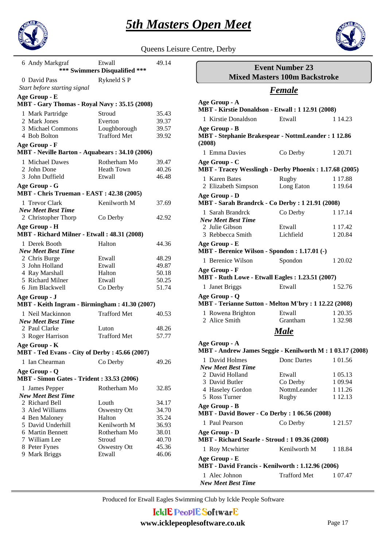



| Queens Leisure Centre, Derby |  |
|------------------------------|--|
|                              |  |

| 6 Andy Markgraf                                                   | Etwall<br>*** Swimmers Disqualified *** | 49.14          |
|-------------------------------------------------------------------|-----------------------------------------|----------------|
| 0 David Pass<br>Start before starting signal                      | Rykneld SP                              |                |
| Age Group - E<br>MBT - Gary Thomas - Royal Navy: 35.15 (2008)     |                                         |                |
|                                                                   |                                         |                |
| 1 Mark Partridge                                                  | Stroud                                  | 35.43          |
| 2 Mark Jones                                                      | Everton                                 | 39.37          |
| 3 Michael Commons<br>4 Bob Bolton                                 | Loughborough<br><b>Trafford Met</b>     | 39.57<br>39.92 |
|                                                                   |                                         |                |
| Age Group - F<br>MBT - Neville Barton - Aquabears: 34.10 (2006)   |                                         |                |
| 1 Michael Dawes                                                   | Rotherham Mo                            | 39.47          |
| 2 John Done                                                       | <b>Heath Town</b>                       | 40.26          |
| 3 John Duffield                                                   | Etwall                                  | 46.48          |
| Age Group - G                                                     |                                         |                |
| <b>MBT</b> - Chris Trueman - EAST: 42.38 (2005)                   |                                         |                |
| 1 Trevor Clark                                                    | Kenilworth M                            | 37.69          |
| <b>New Meet Best Time</b>                                         |                                         |                |
| 2 Christopher Thorp                                               | Co Derby                                | 42.92          |
| Age Group - H<br>MBT - Richard Milner - Etwall: 48.31 (2008)      |                                         |                |
| 1 Derek Booth                                                     | Halton                                  | 44.36          |
| <b>New Meet Best Time</b>                                         |                                         |                |
| 2 Chris Burge                                                     | Etwall                                  | 48.29          |
| 3 John Holland                                                    | Etwall                                  | 49.87          |
| 4 Ray Marshall                                                    | Halton                                  | 50.18          |
| 5 Richard Milner                                                  | Etwall                                  | 50.25          |
| 6 Jim Blackwell                                                   | Co Derby                                | 51.74          |
| Age Group - J                                                     |                                         |                |
| MBT - Keith Ingram - Birmingham: 41.30 (2007)                     |                                         |                |
| 1 Neil Mackinnon                                                  | <b>Trafford Met</b>                     | 40.53          |
| <b>New Meet Best Time</b>                                         |                                         |                |
| 2 Paul Clarke                                                     | Luton                                   | 48.26          |
| 3 Roger Harrison                                                  | <b>Trafford Met</b>                     | 57.77          |
| Age Group - K<br>MBT - Ted Evans - City of Derby: 45.66 (2007)    |                                         |                |
|                                                                   |                                         |                |
| 1 Ian Chearman                                                    | Co Derby                                | 49.26          |
| Age Group - Q<br><b>MBT</b> - Simon Gates - Trident: 33.53 (2006) |                                         |                |
| 1 James Pepper                                                    | Rotherham Mo                            | 32.85          |
| <b>New Meet Best Time</b>                                         |                                         |                |
| 2 Richard Bell                                                    | Louth                                   | 34.17          |
| 3 Aled Williams                                                   | <b>Oswestry Ott</b>                     | 34.70          |
| 4 Ben Maloney                                                     | Halton                                  | 35.24          |
| 5 David Underhill                                                 | Kenilworth M                            | 36.93          |
| 6 Martin Bennett                                                  | Rotherham Mo                            | 38.01          |
| 7 William Lee                                                     | Stroud                                  | 40.70          |
|                                                                   |                                         |                |
| 8 Peter Fynes                                                     | <b>Oswestry Ott</b>                     | 45.36          |
| 9 Mark Briggs                                                     | Etwall                                  | 46.06          |
|                                                                   |                                         |                |

| <b>Event Number 23</b><br><b>Mixed Masters 100m Backstroke</b>                       |              |             |
|--------------------------------------------------------------------------------------|--------------|-------------|
|                                                                                      |              |             |
| Age Group - A<br>MBT - Kirstie Donaldson - Etwall: 1 12.91 (2008)                    |              |             |
| 1 Kirstie Donaldson                                                                  | Etwall       | 1 14.23     |
| Age Group - B<br><b>MBT</b> - Stephanie Brakespear - NottmLeander: 1 12.86<br>(2008) |              |             |
| 1 Emma Davies                                                                        | Co Derby     | 1 20.71     |
| Age Group - C<br>MBT - Tracey Wesslingh - Derby Phoenix: 1.17.68 (2005)              |              |             |
| 1 Karen Bates                                                                        | Rugby        | 1 17.88     |
| 2 Elizabeth Simpson                                                                  | Long Eaton   | 1 19.64     |
| Age Group - D<br>MBT - Sarah Brandrck - Co Derby : 1 21.91 (2008)                    |              |             |
| 1 Sarah Brandrck<br><b>New Meet Best Time</b>                                        | Co Derby     | 1 17.14     |
| 2 Julie Gibson                                                                       | Etwall       | 1 17.42     |
| 3 Rebbecca Smith                                                                     | Lichfield    | 1 20.84     |
| Age Group - E<br>MBT - Berenice Wilson - Spondon : 1.17.01 (-)                       |              |             |
| 1 Berenice Wilson                                                                    | Spondon      | 1 20.02     |
| Age Group - F<br>MBT - Ruth Lowe - Etwall Eagles: 1.23.51 (2007)                     |              |             |
| 1 Janet Briggs                                                                       | Etwall       | 1 52.76     |
| Age Group - Q<br>MBT - Terianne Sutton - Melton M'bry : 1 12.22 (2008)               |              |             |
| 1 Rowena Brighton                                                                    | Etwall       | 1 20.35     |
| 2 Alice Smith                                                                        | Grantham     | 1 3 2.98    |
|                                                                                      | Male         |             |
| Age Group - A<br>MBT - Andrew James Seggie - Kenilworth M: 103.17 (2008)             |              |             |
| 1 David Holmes<br><b>New Meet Best Time</b>                                          | Donc Dartes  | 1 01.56     |
| 2 David Holland                                                                      | Etwall       | 1 05.13     |
| 3 David Butler                                                                       | Co Derby     | 1 09.94     |
| 4 Haseley Gordon                                                                     | NottmLeander | 1 1 1 . 2 6 |
| 5 Ross Turner                                                                        | Rugby        | 1 12.13     |
| Age Group - B<br><b>MBT</b> - David Bower - Co Derby : 1 06.56 (2008)                |              |             |
| 1 Paul Pearson                                                                       | Co Derby     | 1 21.57     |
| Age Group - D                                                                        |              |             |

1 Roy Mcwhirter Kenilworth M 1 18.84 1 Alec Johnon Trafford Met 1 07.47 *New Meet Best Time* **MBT - David Francis - Kenilworth : 1.12.96 (2006) Age Group - E**

**MBT - Richard Searle - Stroud : 1 09.36 (2008)**

Produced for Etwall Eagles Swimming Club by Ickle People Software